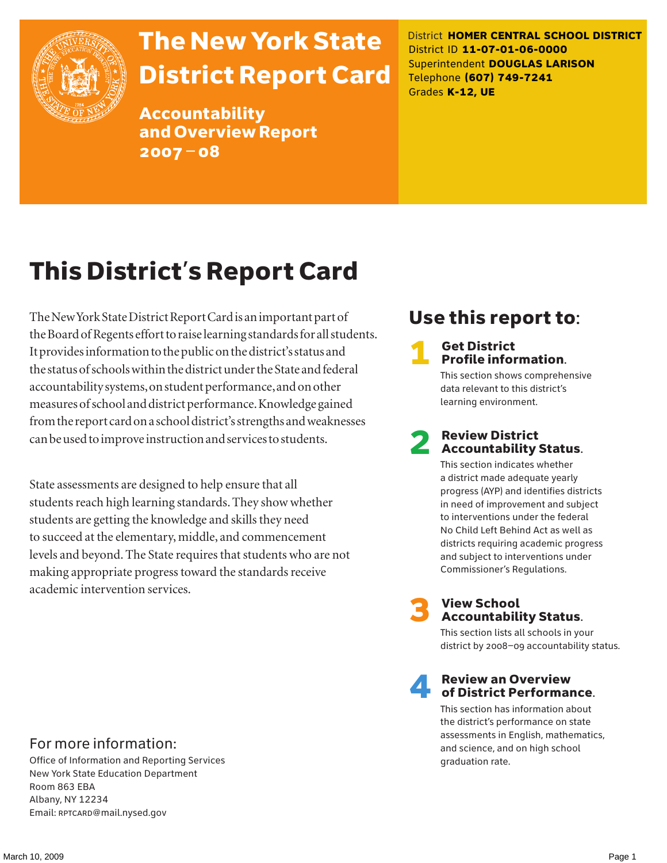

## The New York State District Report Card

Accountability and Overview Report 2007–08

District **HOMER CENTRAL SCHOOL DISTRICT** District ID **11-07-01-06-0000** Superintendent **DOUGLAS LARISON** Telephone **(607) 749-7241** Grades **K-12, UE**

## This District's Report Card

The New York State District Report Card is an important part of the Board of Regents effort to raise learning standards for all students. It provides information to the public on the district's status and the status of schools within the district under the State and federal accountability systems, on student performance, and on other measures of school and district performance. Knowledge gained from the report card on a school district's strengths and weaknesses can be used to improve instruction and services to students.

State assessments are designed to help ensure that all students reach high learning standards. They show whether students are getting the knowledge and skills they need to succeed at the elementary, middle, and commencement levels and beyond. The State requires that students who are not making appropriate progress toward the standards receive academic intervention services.

### Use this report to:

#### **Get District** Profile information.

This section shows comprehensive data relevant to this district's learning environment.

# **2** Review District<br>Accountability Status.

This section indicates whether a district made adequate yearly progress (AYP) and identifies districts in need of improvement and subject to interventions under the federal No Child Left Behind Act as well as districts requiring academic progress and subject to interventions under Commissioner's Regulations.



## **3** View School<br>Accountability Status.

This section lists all schools in your district by 2008–09 accountability status.

#### **Review an Overview** of District Performance.

This section has information about the district's performance on state assessments in English, mathematics, and science, and on high school graduation rate.

### For more information:

Office of Information and Reporting Services New York State Education Department Room 863 EBA Albany, NY 12234 Email: RPTCARD@mail.nysed.gov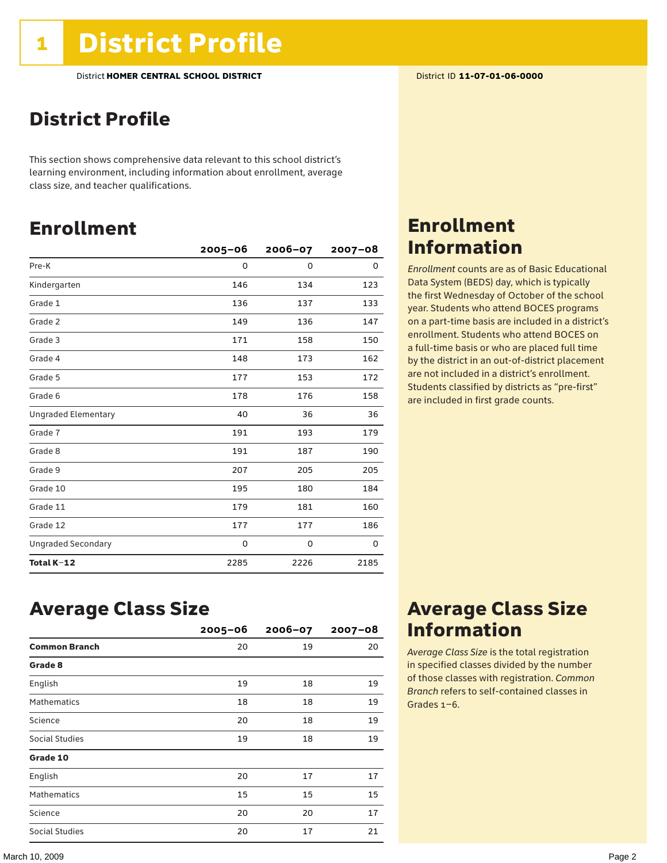### District Profile

This section shows comprehensive data relevant to this school district's learning environment, including information about enrollment, average class size, and teacher qualifications.

### Enrollment

|                            | $2005 - 06$ | $2006 - 07$ | $2007 - 08$ |
|----------------------------|-------------|-------------|-------------|
| Pre-K                      | 0           | $\mathbf 0$ | 0           |
| Kindergarten               | 146         | 134         | 123         |
| Grade 1                    | 136         | 137         | 133         |
| Grade 2                    | 149         | 136         | 147         |
| Grade 3                    | 171         | 158         | 150         |
| Grade 4                    | 148         | 173         | 162         |
| Grade 5                    | 177         | 153         | 172         |
| Grade 6                    | 178         | 176         | 158         |
| <b>Ungraded Elementary</b> | 40          | 36          | 36          |
| Grade 7                    | 191         | 193         | 179         |
| Grade 8                    | 191         | 187         | 190         |
| Grade 9                    | 207         | 205         | 205         |
| Grade 10                   | 195         | 180         | 184         |
| Grade 11                   | 179         | 181         | 160         |
| Grade 12                   | 177         | 177         | 186         |
| <b>Ungraded Secondary</b>  | 0           | 0           | 0           |
| Total K-12                 | 2285        | 2226        | 2185        |

### Enrollment Information

*Enrollment* counts are as of Basic Educational Data System (BEDS) day, which is typically the first Wednesday of October of the school year. Students who attend BOCES programs on a part-time basis are included in a district's enrollment. Students who attend BOCES on a full-time basis or who are placed full time by the district in an out-of-district placement are not included in a district's enrollment. Students classified by districts as "pre-first" are included in first grade counts.

### Average Class Size

|                      | $2005 - 06$ | $2006 - 07$ | $2007 - 08$ |
|----------------------|-------------|-------------|-------------|
| <b>Common Branch</b> | 20          | 19          | 20          |
| Grade 8              |             |             |             |
| English              | 19          | 18          | 19          |
| <b>Mathematics</b>   | 18          | 18          | 19          |
| Science              | 20          | 18          | 19          |
| Social Studies       | 19          | 18          | 19          |
| Grade 10             |             |             |             |
| English              | 20          | 17          | 17          |
| <b>Mathematics</b>   | 15          | 15          | 15          |
| Science              | 20          | 20          | 17          |
| Social Studies       | 20          | 17          | 21          |

### Average Class Size Information

*Average Class Size* is the total registration in specified classes divided by the number of those classes with registration. *Common Branch* refers to self-contained classes in Grades 1–6.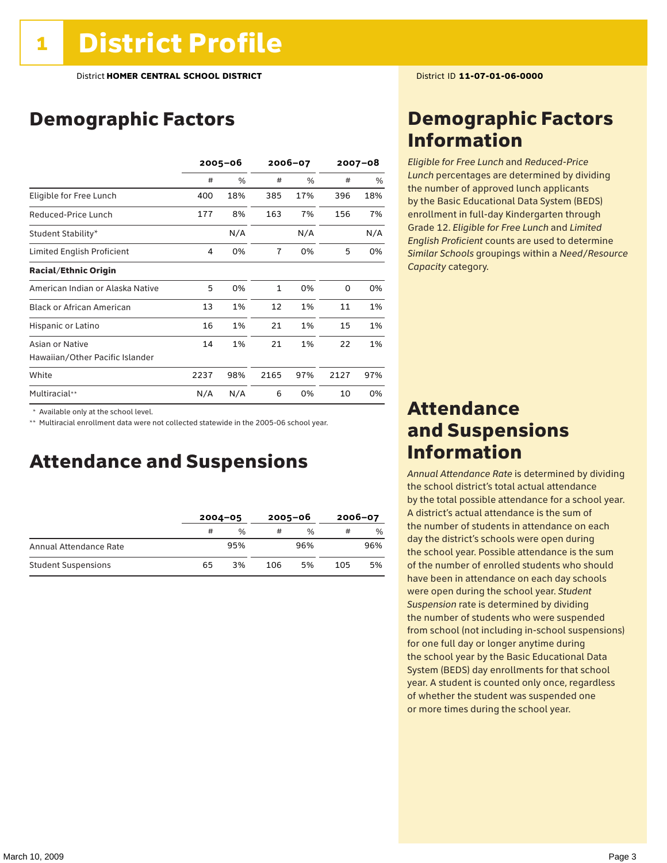### Demographic Factors

|                                  | $2005 - 06$ |     | 2006-07        |     | $2007 - 08$ |     |
|----------------------------------|-------------|-----|----------------|-----|-------------|-----|
|                                  | #           | %   | #              | %   | #           | %   |
| Eligible for Free Lunch          | 400         | 18% | 385            | 17% | 396         | 18% |
| Reduced-Price Lunch              | 177         | 8%  | 163            | 7%  | 156         | 7%  |
| Student Stability*               |             | N/A |                | N/A |             | N/A |
| Limited English Proficient       | 4           | 0%  | $\overline{7}$ | 0%  | 5           | 0%  |
| <b>Racial/Ethnic Origin</b>      |             |     |                |     |             |     |
| American Indian or Alaska Native | 5           | 0%  | $\mathbf{1}$   | 0%  | 0           | 0%  |
| <b>Black or African American</b> | 13          | 1%  | 12             | 1%  | 11          | 1%  |
| Hispanic or Latino               | 16          | 1%  | 21             | 1%  | 15          | 1%  |
| Asian or Native                  | 14          | 1%  | 21             | 1%  | 22          | 1%  |
| Hawaiian/Other Pacific Islander  |             |     |                |     |             |     |
| White                            | 2237        | 98% | 2165           | 97% | 2127        | 97% |
| Multiracial**                    | N/A         | N/A | 6              | 0%  | 10          | 0%  |

\* Available only at the school level.

\*\* Multiracial enrollment data were not collected statewide in the 2005-06 school year.

### Attendance and Suspensions

|                            | $2004 - 05$ |               | $2005 - 06$ |               | $2006 - 07$ |     |
|----------------------------|-------------|---------------|-------------|---------------|-------------|-----|
|                            | #           | $\frac{0}{0}$ |             | $\frac{0}{0}$ | #           | %   |
| Annual Attendance Rate     |             | 95%           |             | 96%           |             | 96% |
| <b>Student Suspensions</b> | 65          | 3%            | 106         | 5%            | 105         | 5%  |

### Demographic Factors Information

*Eligible for Free Lunch* and *Reduced*-*Price Lunch* percentages are determined by dividing the number of approved lunch applicants by the Basic Educational Data System (BEDS) enrollment in full-day Kindergarten through Grade 12. *Eligible for Free Lunch* and *Limited English Proficient* counts are used to determine *Similar Schools* groupings within a *Need*/*Resource Capacity* category.

### Attendance and Suspensions Information

*Annual Attendance Rate* is determined by dividing the school district's total actual attendance by the total possible attendance for a school year. A district's actual attendance is the sum of the number of students in attendance on each day the district's schools were open during the school year. Possible attendance is the sum of the number of enrolled students who should have been in attendance on each day schools were open during the school year. *Student Suspension* rate is determined by dividing the number of students who were suspended from school (not including in-school suspensions) for one full day or longer anytime during the school year by the Basic Educational Data System (BEDS) day enrollments for that school year. A student is counted only once, regardless of whether the student was suspended one or more times during the school year.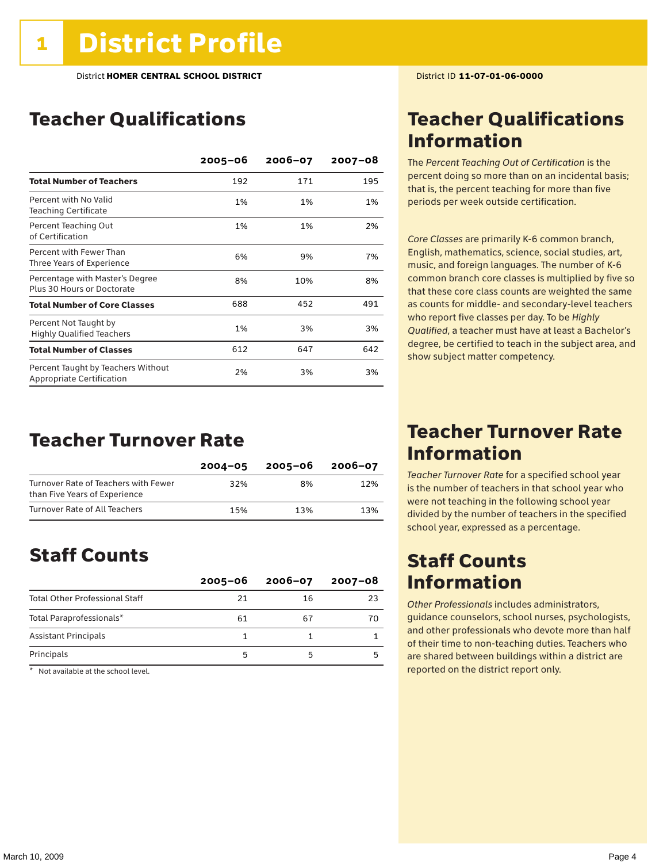### Teacher Qualifications

|                                                                 | $2005 - 06$ | $2006 - 07$ | $2007 - 08$ |
|-----------------------------------------------------------------|-------------|-------------|-------------|
| <b>Total Number of Teachers</b>                                 | 192         | 171         | 195         |
| Percent with No Valid<br><b>Teaching Certificate</b>            | 1%          | 1%          | 1%          |
| Percent Teaching Out<br>of Certification                        | 1%          | 1%          | 2%          |
| Percent with Fewer Than<br>Three Years of Experience            | 6%          | 9%          | 7%          |
| Percentage with Master's Degree<br>Plus 30 Hours or Doctorate   | 8%          | 10%         | 8%          |
| <b>Total Number of Core Classes</b>                             | 688         | 452         | 491         |
| Percent Not Taught by<br><b>Highly Qualified Teachers</b>       | 1%          | 3%          | 3%          |
| <b>Total Number of Classes</b>                                  | 612         | 647         | 642         |
| Percent Taught by Teachers Without<br>Appropriate Certification | 2%          | 3%          | 3%          |

### Teacher Turnover Rate

|                                                                       | $2004 - 05$ | 2005-06 | 2006-07 |
|-----------------------------------------------------------------------|-------------|---------|---------|
| Turnover Rate of Teachers with Fewer<br>than Five Years of Experience | 32%         | 8%      | 12%     |
| Turnover Rate of All Teachers                                         | 15%         | 13%     | 13%     |

### Staff Counts

|                                       | $2005 - 06$ | $2006 - 07$ | $2007 - 08$ |
|---------------------------------------|-------------|-------------|-------------|
| <b>Total Other Professional Staff</b> | 21          | 16          | 23          |
| Total Paraprofessionals*              | 61          | 67          | 70          |
| <b>Assistant Principals</b>           |             |             |             |
| Principals                            |             | 5           |             |

 $*$  Not available at the school level.

### Teacher Qualifications Information

The *Percent Teaching Out of Certification* is the percent doing so more than on an incidental basis; that is, the percent teaching for more than five periods per week outside certification.

*Core Classes* are primarily K-6 common branch, English, mathematics, science, social studies, art, music, and foreign languages. The number of K-6 common branch core classes is multiplied by five so that these core class counts are weighted the same as counts for middle- and secondary-level teachers who report five classes per day. To be *Highly Qualified*, a teacher must have at least a Bachelor's degree, be certified to teach in the subject area, and show subject matter competency.

### Teacher Turnover Rate Information

*Teacher Turnover Rate* for a specified school year is the number of teachers in that school year who were not teaching in the following school year divided by the number of teachers in the specified school year, expressed as a percentage.

### Staff Counts Information

*Other Professionals* includes administrators, guidance counselors, school nurses, psychologists, and other professionals who devote more than half of their time to non-teaching duties. Teachers who are shared between buildings within a district are reported on the district report only.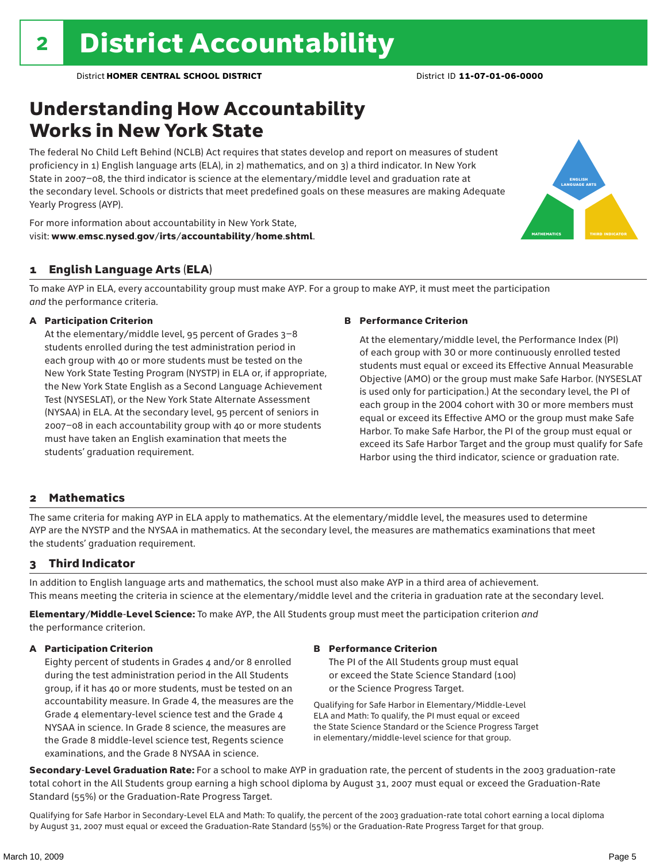### Understanding How Accountability Works in New York State

The federal No Child Left Behind (NCLB) Act requires that states develop and report on measures of student proficiency in 1) English language arts (ELA), in 2) mathematics, and on 3) a third indicator. In New York State in 2007–08, the third indicator is science at the elementary/middle level and graduation rate at the secondary level. Schools or districts that meet predefined goals on these measures are making Adequate Yearly Progress (AYP).



For more information about accountability in New York State, visit: www.emsc.nysed.gov/irts/accountability/home.shtml.

#### 1 English Language Arts (ELA)

To make AYP in ELA, every accountability group must make AYP. For a group to make AYP, it must meet the participation *and* the performance criteria.

#### A Participation Criterion

At the elementary/middle level, 95 percent of Grades 3–8 students enrolled during the test administration period in each group with 40 or more students must be tested on the New York State Testing Program (NYSTP) in ELA or, if appropriate, the New York State English as a Second Language Achievement Test (NYSESLAT), or the New York State Alternate Assessment (NYSAA) in ELA. At the secondary level, 95 percent of seniors in 2007–08 in each accountability group with 40 or more students must have taken an English examination that meets the students' graduation requirement.

#### B Performance Criterion

At the elementary/middle level, the Performance Index (PI) of each group with 30 or more continuously enrolled tested students must equal or exceed its Effective Annual Measurable Objective (AMO) or the group must make Safe Harbor. (NYSESLAT is used only for participation.) At the secondary level, the PI of each group in the 2004 cohort with 30 or more members must equal or exceed its Effective AMO or the group must make Safe Harbor. To make Safe Harbor, the PI of the group must equal or exceed its Safe Harbor Target and the group must qualify for Safe Harbor using the third indicator, science or graduation rate.

#### 2 Mathematics

The same criteria for making AYP in ELA apply to mathematics. At the elementary/middle level, the measures used to determine AYP are the NYSTP and the NYSAA in mathematics. At the secondary level, the measures are mathematics examinations that meet the students' graduation requirement.

#### 3 Third Indicator

In addition to English language arts and mathematics, the school must also make AYP in a third area of achievement. This means meeting the criteria in science at the elementary/middle level and the criteria in graduation rate at the secondary level.

Elementary/Middle-Level Science: To make AYP, the All Students group must meet the participation criterion *and* the performance criterion.

#### A Participation Criterion

Eighty percent of students in Grades 4 and/or 8 enrolled during the test administration period in the All Students group, if it has 40 or more students, must be tested on an accountability measure. In Grade 4, the measures are the Grade 4 elementary-level science test and the Grade 4 NYSAA in science. In Grade 8 science, the measures are the Grade 8 middle-level science test, Regents science examinations, and the Grade 8 NYSAA in science.

#### B Performance Criterion

The PI of the All Students group must equal or exceed the State Science Standard (100) or the Science Progress Target.

Qualifying for Safe Harbor in Elementary/Middle-Level ELA and Math: To qualify, the PI must equal or exceed the State Science Standard or the Science Progress Target in elementary/middle-level science for that group.

Secondary-Level Graduation Rate: For a school to make AYP in graduation rate, the percent of students in the 2003 graduation-rate total cohort in the All Students group earning a high school diploma by August 31, 2007 must equal or exceed the Graduation-Rate Standard (55%) or the Graduation-Rate Progress Target.

Qualifying for Safe Harbor in Secondary-Level ELA and Math: To qualify, the percent of the 2003 graduation-rate total cohort earning a local diploma by August 31, 2007 must equal or exceed the Graduation-Rate Standard (55%) or the Graduation-Rate Progress Target for that group.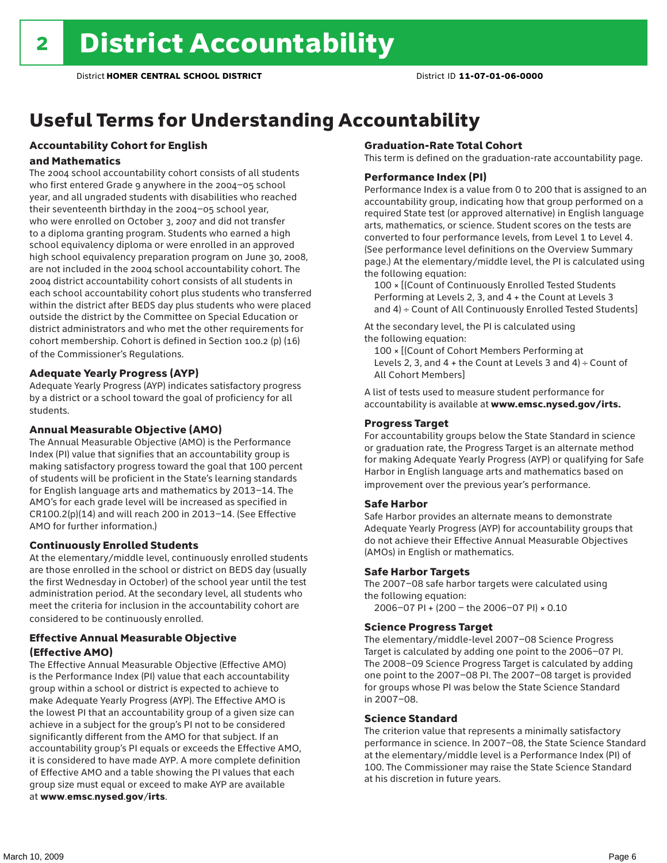## Useful Terms for Understanding Accountability

### Accountability Cohort for English

#### and Mathematics

The 2004 school accountability cohort consists of all students who first entered Grade 9 anywhere in the 2004–05 school year, and all ungraded students with disabilities who reached their seventeenth birthday in the 2004–05 school year, who were enrolled on October 3, 2007 and did not transfer to a diploma granting program. Students who earned a high school equivalency diploma or were enrolled in an approved high school equivalency preparation program on June 30, 2008, are not included in the 2004 school accountability cohort. The 2004 district accountability cohort consists of all students in each school accountability cohort plus students who transferred within the district after BEDS day plus students who were placed outside the district by the Committee on Special Education or district administrators and who met the other requirements for cohort membership. Cohort is defined in Section 100.2 (p) (16) of the Commissioner's Regulations.

#### Adequate Yearly Progress (AYP)

Adequate Yearly Progress (AYP) indicates satisfactory progress by a district or a school toward the goal of proficiency for all students.

#### Annual Measurable Objective (AMO)

The Annual Measurable Objective (AMO) is the Performance Index (PI) value that signifies that an accountability group is making satisfactory progress toward the goal that 100 percent of students will be proficient in the State's learning standards for English language arts and mathematics by 2013–14. The AMO's for each grade level will be increased as specified in CR100.2(p)(14) and will reach 200 in 2013–14. (See Effective AMO for further information.)

#### Continuously Enrolled Students

At the elementary/middle level, continuously enrolled students are those enrolled in the school or district on BEDS day (usually the first Wednesday in October) of the school year until the test administration period. At the secondary level, all students who meet the criteria for inclusion in the accountability cohort are considered to be continuously enrolled.

#### Effective Annual Measurable Objective (Effective AMO)

The Effective Annual Measurable Objective (Effective AMO) is the Performance Index (PI) value that each accountability group within a school or district is expected to achieve to make Adequate Yearly Progress (AYP). The Effective AMO is the lowest PI that an accountability group of a given size can achieve in a subject for the group's PI not to be considered significantly different from the AMO for that subject. If an accountability group's PI equals or exceeds the Effective AMO, it is considered to have made AYP. A more complete definition of Effective AMO and a table showing the PI values that each group size must equal or exceed to make AYP are available at www.emsc.nysed.gov/irts.

#### Graduation-Rate Total Cohort

This term is defined on the graduation-rate accountability page.

#### Performance Index (PI)

Performance Index is a value from 0 to 200 that is assigned to an accountability group, indicating how that group performed on a required State test (or approved alternative) in English language arts, mathematics, or science. Student scores on the tests are converted to four performance levels, from Level 1 to Level 4. (See performance level definitions on the Overview Summary page.) At the elementary/middle level, the PI is calculated using the following equation:

100 × [(Count of Continuously Enrolled Tested Students Performing at Levels 2, 3, and 4 + the Count at Levels 3 and 4) ÷ Count of All Continuously Enrolled Tested Students]

At the secondary level, the PI is calculated using the following equation:

100 × [(Count of Cohort Members Performing at Levels 2, 3, and  $4 +$  the Count at Levels 3 and  $4) \div$  Count of All Cohort Members]

A list of tests used to measure student performance for accountability is available at www.emsc.nysed.gov/irts.

#### Progress Target

For accountability groups below the State Standard in science or graduation rate, the Progress Target is an alternate method for making Adequate Yearly Progress (AYP) or qualifying for Safe Harbor in English language arts and mathematics based on improvement over the previous year's performance.

#### Safe Harbor

Safe Harbor provides an alternate means to demonstrate Adequate Yearly Progress (AYP) for accountability groups that do not achieve their Effective Annual Measurable Objectives (AMOs) in English or mathematics.

#### Safe Harbor Targets

The 2007–08 safe harbor targets were calculated using the following equation:

2006–07 PI + (200 – the 2006–07 PI) × 0.10

#### Science Progress Target

The elementary/middle-level 2007–08 Science Progress Target is calculated by adding one point to the 2006–07 PI. The 2008–09 Science Progress Target is calculated by adding one point to the 2007–08 PI. The 2007–08 target is provided for groups whose PI was below the State Science Standard in 2007–08.

#### Science Standard

The criterion value that represents a minimally satisfactory performance in science. In 2007–08, the State Science Standard at the elementary/middle level is a Performance Index (PI) of 100. The Commissioner may raise the State Science Standard at his discretion in future years.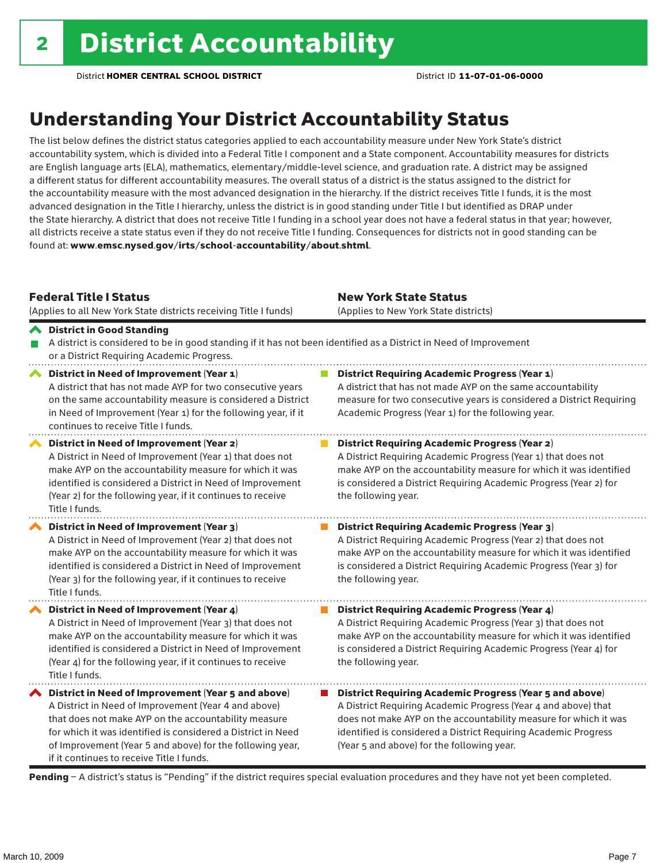### Understanding Your District Accountability Status

The list below defines the district status categories applied to each accountability measure under New York State's district accountability system, which is divided into a Federal Title I component and a State component. Accountability measures for districts are English language arts (ELA), mathematics, elementary/middle-level science, and graduation rate. A district may be assigned a different status for different accountability measures. The overall status of a district is the status assigned to the district for the accountability measure with the most advanced designation in the hierarchy. If the district receives Title I funds, it is the most advanced designation in the Title I hierarchy, unless the district is in good standing under Title I but identified as DRAP under the State hierarchy. A district that does not receive Title I funding in a school year does not have a federal status in that year; however, all districts receive a state status even if they do not receive Title I funding. Consequences for districts not in good standing can be found at: www.emsc.nysed.gov/irts/school-accountability/about.shtml.

#### Federal Title I Status

(Applies to all New York State districts receiving Title I funds)

New York State Status (Applies to New York State districts)

**District Requiring Academic Progress (Year 2)** 

#### District in Good Standing A district is considered to be in good standing if it has not been identified as a District in Need of Improvement or a District Requiring Academic Progress. ◆ District in Need of Improvement (Year 1) **District Requiring Academic Progress (Year 1)** A district that has not made AYP for two consecutive years A district that has not made AYP on the same accountability measure for two consecutive years is considered a District Requiring on the same accountability measure is considered a District in Need of Improvement (Year 1) for the following year, if it Academic Progress (Year 1) for the following year. continues to receive Title I funds.

District in Need of Improvement (Year 2) A District in Need of Improvement (Year 1) that does not make AYP on the accountability measure for which it was identified is considered a District in Need of Improvement (Year 2) for the following year, if it continues to receive Title I funds.

District in Need of Improvement (Year 3) A District in Need of Improvement (Year 2) that does not make AYP on the accountability measure for which it was identified is considered a District in Need of Improvement (Year 3) for the following year, if it continues to receive Title I funds.

◆ District in Need of Improvement (Year 4) A District in Need of Improvement (Year 3) that does not make AYP on the accountability measure for which it was identified is considered a District in Need of Improvement (Year 4) for the following year, if it continues to receive Title I funds.

 $\blacktriangle$  District in Need of Improvement (Year 5 and above) A District in Need of Improvement (Year 4 and above) that does not make AYP on the accountability measure for which it was identified is considered a District in Need of Improvement (Year 5 and above) for the following year, if it continues to receive Title I funds.

A District Requiring Academic Progress (Year 1) that does not make AYP on the accountability measure for which it was identified is considered a District Requiring Academic Progress (Year 2) for the following year.

#### $\mathcal{L}_{\mathcal{A}}$ District Requiring Academic Progress (Year 3) A District Requiring Academic Progress (Year 2) that does not make AYP on the accountability measure for which it was identified is considered a District Requiring Academic Progress (Year 3) for the following year.

**District Requiring Academic Progress (Year 4)** A District Requiring Academic Progress (Year 3) that does not make AYP on the accountability measure for which it was identified is considered a District Requiring Academic Progress (Year 4) for the following year.

■ District Requiring Academic Progress (Year 5 and above) A District Requiring Academic Progress (Year 4 and above) that does not make AYP on the accountability measure for which it was identified is considered a District Requiring Academic Progress (Year 5 and above) for the following year.

Pending - A district's status is "Pending" if the district requires special evaluation procedures and they have not yet been completed.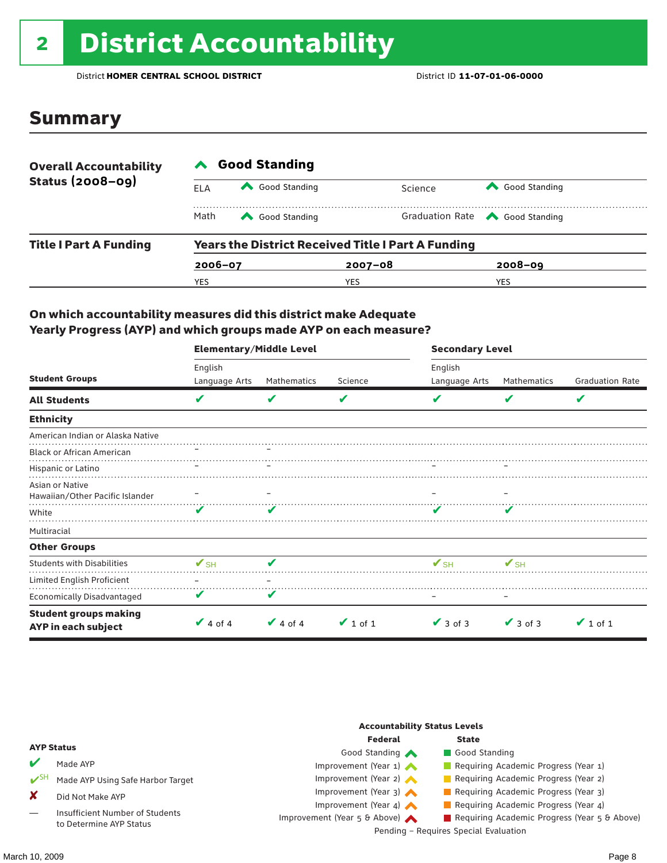## <sup>2</sup> District Accountability

District **HOMER CENTRAL SCHOOL DISTRICT** District ID **11-07-01-06-0000**

### Summary

| <b>Overall Accountability</b><br><b>Status (2008-09)</b> | <b>Good Standing</b> |                                                           |             |                                       |  |  |  |
|----------------------------------------------------------|----------------------|-----------------------------------------------------------|-------------|---------------------------------------|--|--|--|
|                                                          | ELA                  | Good Standing                                             | Science     | Good Standing                         |  |  |  |
|                                                          | Math                 | Good Standing                                             |             | Graduation Rate <a> Good Standing</a> |  |  |  |
| <b>Title I Part A Funding</b>                            |                      | <b>Years the District Received Title I Part A Funding</b> |             |                                       |  |  |  |
|                                                          | $2006 - 07$          |                                                           | $2007 - 08$ | $2008 - 09$                           |  |  |  |
|                                                          | YES                  |                                                           | YES         | <b>YES</b>                            |  |  |  |

#### On which accountability measures did this district make Adequate Yearly Progress (AYP) and which groups made AYP on each measure?

|                                                     | Elementary/Middle Level  |               |               | <b>Secondary Level</b>   |                          |                        |  |
|-----------------------------------------------------|--------------------------|---------------|---------------|--------------------------|--------------------------|------------------------|--|
|                                                     | English                  |               |               | English                  |                          |                        |  |
| <b>Student Groups</b>                               | Language Arts            | Mathematics   | Science       | Language Arts            | Mathematics              | <b>Graduation Rate</b> |  |
| <b>All Students</b>                                 | V                        | V             | V             |                          | V                        | V                      |  |
| <b>Ethnicity</b>                                    |                          |               |               |                          |                          |                        |  |
| American Indian or Alaska Native                    |                          |               |               |                          |                          |                        |  |
| <b>Black or African American</b>                    |                          |               |               |                          |                          |                        |  |
| Hispanic or Latino                                  |                          |               |               |                          |                          |                        |  |
| Asian or Native<br>Hawaiian/Other Pacific Islander  |                          |               |               |                          |                          |                        |  |
| White                                               | V                        |               |               |                          |                          |                        |  |
| Multiracial                                         |                          |               |               |                          |                          |                        |  |
| <b>Other Groups</b>                                 |                          |               |               |                          |                          |                        |  |
| <b>Students with Disabilities</b>                   | $\mathbf{V}_{\text{SH}}$ | ✔             |               | $\mathbf{V}_{\text{SH}}$ | $\mathbf{V}_{\text{SH}}$ |                        |  |
| Limited English Proficient                          |                          |               |               |                          |                          |                        |  |
| Economically Disadvantaged                          | V                        | V             |               |                          |                          |                        |  |
| <b>Student groups making</b><br>AYP in each subject | $\vee$ 4 of 4            | $\vee$ 4 of 4 | $\vee$ 1 of 1 | $\vee$ 3 of 3            | $\vee$ 3 of 3            | $\vee$ 1 of 1          |  |

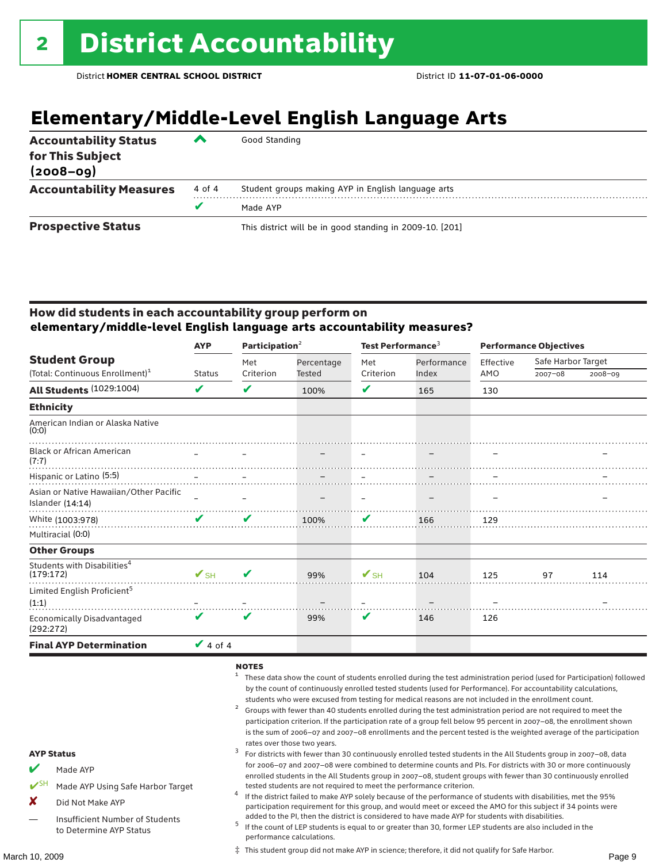### **Elementary/Middle-Level English Language Arts**

| <b>Accountability Status</b><br>for This Subject<br>$(2008 - 09)$ | ▰      | Good Standing                                            |
|-------------------------------------------------------------------|--------|----------------------------------------------------------|
| <b>Accountability Measures</b>                                    | 4 of 4 | Student groups making AYP in English language arts       |
|                                                                   |        | Made AYP                                                 |
| <b>Prospective Status</b>                                         |        | This district will be in good standing in 2009-10. [201] |

#### How did students in each accountability group perform on **elementary/middle-level English language arts accountability measures?**

|                                                              | Participation $2$<br><b>AYP</b> |           |               | Test Performance <sup>3</sup> |            | <b>Performance Objectives</b> |             |             |                    |  |
|--------------------------------------------------------------|---------------------------------|-----------|---------------|-------------------------------|------------|-------------------------------|-------------|-------------|--------------------|--|
| <b>Student Group</b>                                         |                                 |           |               | Met                           | Percentage | Met                           | Performance | Effective   | Safe Harbor Target |  |
| (Total: Continuous Enrollment) <sup>1</sup>                  | <b>Status</b>                   | Criterion | <b>Tested</b> | Criterion                     | Index      | AMO                           | $2007 - 08$ | $2008 - 09$ |                    |  |
| <b>All Students (1029:1004)</b>                              | V                               | ✔         | 100%          | V                             | 165        | 130                           |             |             |                    |  |
| <b>Ethnicity</b>                                             |                                 |           |               |                               |            |                               |             |             |                    |  |
| American Indian or Alaska Native<br>(0:0)                    |                                 |           |               |                               |            |                               |             |             |                    |  |
| <b>Black or African American</b><br>(7:7)                    |                                 |           |               |                               |            |                               |             |             |                    |  |
| Hispanic or Latino (5:5)                                     |                                 |           |               |                               |            |                               |             |             |                    |  |
| Asian or Native Hawaiian/Other Pacific<br>Islander $(14:14)$ |                                 |           |               |                               |            |                               |             |             |                    |  |
| White (1003:978)                                             | ✔                               | V         | 100%          | V                             | 166        | 129                           |             |             |                    |  |
| Multiracial (0:0)                                            |                                 |           |               |                               |            |                               |             |             |                    |  |
| <b>Other Groups</b>                                          |                                 |           |               |                               |            |                               |             |             |                    |  |
| Students with Disabilities <sup>4</sup><br>(179:172)         | $\mathbf{V}_{\text{SH}}$        | V         | 99%           | $\mathbf{V}_{\text{SH}}$      | 104        | 125                           | 97          | 114         |                    |  |
| Limited English Proficient <sup>5</sup>                      |                                 |           |               |                               |            |                               |             |             |                    |  |
| (1:1)                                                        |                                 |           |               |                               |            |                               |             |             |                    |  |
| Economically Disadvantaged<br>(292:272)                      | V                               | V         | 99%           | V                             | 146        | 126                           |             |             |                    |  |
| <b>Final AYP Determination</b>                               | $\sqrt{4}$ of 4                 |           |               |                               |            |                               |             |             |                    |  |

#### NOTES

- <sup>1</sup> These data show the count of students enrolled during the test administration period (used for Participation) followed by the count of continuously enrolled tested students (used for Performance). For accountability calculations,
- students who were excused from testing for medical reasons are not included in the enrollment count.<br>Groups with fewer than 40 students enrolled during the test administration period are not required to meet the participation criterion. If the participation rate of a group fell below 95 percent in 2007–08, the enrollment shown is the sum of 2006–07 and 2007–08 enrollments and the percent tested is the weighted average of the participation
- rates over those two years.<br><sup>3</sup> For districts with fewer than 30 continuously enrolled tested students in the All Students group in 2007–08, data for 2006–07 and 2007–08 were combined to determine counts and PIs. For districts with 30 or more continuously enrolled students in the All Students group in 2007–08, student groups with fewer than 30 continuously enrolled
- tested students are not required to meet the performance criterion. <sup>4</sup> If the district failed to make AYP solely because of the performance of students with disabilities, met the 95% participation requirement for this group, and would meet or exceed the AMO for this subject if 34 points were
- added to the PI, then the district is considered to have made AYP for students with disabilities.<br> $^5$  If the count of LEP students is equal to or greater than 30, former LEP students are also included in the performance calculations.

‡ This student group did not make AYP in science; therefore, it did not qualify for Safe Harbor.

AYP Status

Made AYP

X Did Not Make AYP

Made AYP Using Safe Harbor Target

Insufficient Number of Students to Determine AYP Status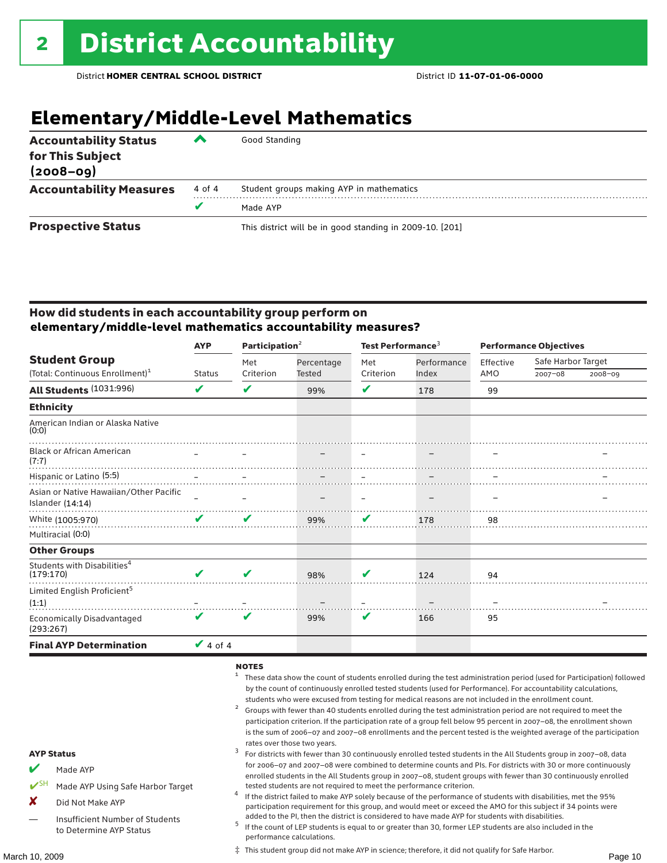### **Elementary/Middle-Level Mathematics**

| <b>Accountability Status</b><br>for This Subject<br>$(2008 - 09)$ | ▰      | Good Standing                                            |
|-------------------------------------------------------------------|--------|----------------------------------------------------------|
| <b>Accountability Measures</b>                                    | 4 of 4 | Student groups making AYP in mathematics                 |
|                                                                   | v      | Made AYP                                                 |
| <b>Prospective Status</b>                                         |        | This district will be in good standing in 2009-10. [201] |

#### How did students in each accountability group perform on **elementary/middle-level mathematics accountability measures?**

|                                                      | <b>AYP</b>    | Participation $2$ |                      | Test Performance <sup>3</sup> |             | <b>Performance Objectives</b> |                    |             |
|------------------------------------------------------|---------------|-------------------|----------------------|-------------------------------|-------------|-------------------------------|--------------------|-------------|
| <b>Student Group</b>                                 |               | Met               | Percentage<br>Tested | Met<br>Criterion              | Performance | Effective                     | Safe Harbor Target |             |
| (Total: Continuous Enrollment) <sup>1</sup>          | <b>Status</b> | Criterion         |                      |                               | Index       | AMO                           | $2007 - 08$        | $2008 - 09$ |
| All Students (1031:996)                              | V             | ✔                 | 99%                  | V                             | 178         | 99                            |                    |             |
| <b>Ethnicity</b>                                     |               |                   |                      |                               |             |                               |                    |             |
| American Indian or Alaska Native<br>(0:0)            |               |                   |                      |                               |             |                               |                    |             |
| <b>Black or African American</b><br>(7:7)            |               |                   |                      |                               |             |                               |                    |             |
| Hispanic or Latino (5:5)                             |               |                   |                      |                               |             |                               |                    |             |
| Asian or Native Hawaiian/Other Pacific               |               |                   |                      |                               |             |                               |                    |             |
| Islander (14:14)                                     |               |                   |                      |                               |             |                               |                    |             |
| White (1005:970)                                     | V             | V                 | 99%                  | V                             | 178         | 98                            |                    |             |
| Multiracial (0:0)                                    |               |                   |                      |                               |             |                               |                    |             |
| <b>Other Groups</b>                                  |               |                   |                      |                               |             |                               |                    |             |
| Students with Disabilities <sup>4</sup><br>(179:170) | V             | ✔                 | 98%                  | V                             | 124         | 94                            |                    |             |
| Limited English Proficient <sup>5</sup><br>(1:1)     |               |                   |                      |                               |             |                               |                    |             |
| Economically Disadvantaged<br>(293:267)              | V             | V                 | 99%                  | V                             | 166         | 95                            |                    |             |
| <b>Final AYP Determination</b>                       | $\vee$ 4 of 4 |                   |                      |                               |             |                               |                    |             |

#### NOTES

- <sup>1</sup> These data show the count of students enrolled during the test administration period (used for Participation) followed by the count of continuously enrolled tested students (used for Performance). For accountability calculations,
- students who were excused from testing for medical reasons are not included in the enrollment count.<br><sup>2</sup> Groups with fewer than 40 students enrolled during the test administration period are not required to meet the participation criterion. If the participation rate of a group fell below 95 percent in 2007–08, the enrollment shown is the sum of 2006–07 and 2007–08 enrollments and the percent tested is the weighted average of the participation
- rates over those two years.<br><sup>3</sup> For districts with fewer than 30 continuously enrolled tested students in the All Students group in 2007–08, data for 2006–07 and 2007–08 were combined to determine counts and PIs. For districts with 30 or more continuously enrolled students in the All Students group in 2007–08, student groups with fewer than 30 continuously enrolled
- tested students are not required to meet the performance criterion. <sup>4</sup> If the district failed to make AYP solely because of the performance of students with disabilities, met the 95% participation requirement for this group, and would meet or exceed the AMO for this subject if 34 points were
- added to the PI, then the district is considered to have made AYP for students with disabilities.<br> $^5$  If the count of LEP students is equal to or greater than 30, former LEP students are also included in the performance calculations.

‡ This student group did not make AYP in science; therefore, it did not qualify for Safe Harbor.

### Made AYP Using Safe Harbor Target

AYP Status

X Did Not Make AYP

Made AYP

Insufficient Number of Students to Determine AYP Status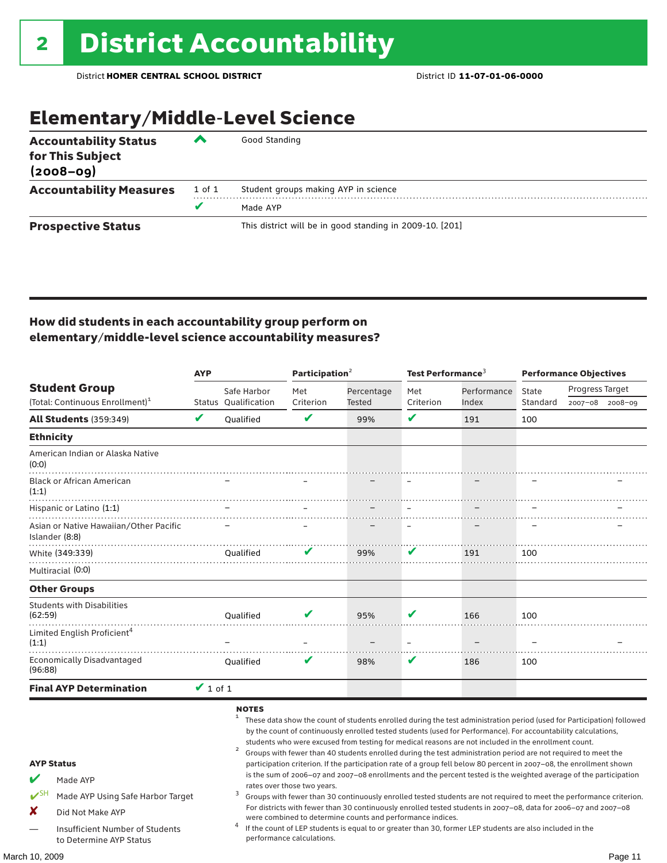### Elementary/Middle-Level Science

| <b>Accountability Status</b><br>for This Subject<br>$(2008 - 09)$ | ◚      | Good Standing                                            |
|-------------------------------------------------------------------|--------|----------------------------------------------------------|
| <b>Accountability Measures</b>                                    | 1 of 1 | Student groups making AYP in science                     |
|                                                                   | v      | Made AYP                                                 |
| <b>Prospective Status</b>                                         |        | This district will be in good standing in 2009-10. [201] |

#### How did students in each accountability group perform on elementary/middle-level science accountability measures?

| <b>Student Group</b> |                                                                                                                                                      | <b>AYP</b>    |                      | Participation <sup>2</sup>                               |                                                            | Test Performance <sup>3</sup> |                                                                                                                                                                                                                                                                                                                                                                                                                                                                                                                                                                                                                                                                                                                                                                                                                                                                                                                                                                                                                                                                        | <b>Performance Objectives</b> |                 |         |
|----------------------|------------------------------------------------------------------------------------------------------------------------------------------------------|---------------|----------------------|----------------------------------------------------------|------------------------------------------------------------|-------------------------------|------------------------------------------------------------------------------------------------------------------------------------------------------------------------------------------------------------------------------------------------------------------------------------------------------------------------------------------------------------------------------------------------------------------------------------------------------------------------------------------------------------------------------------------------------------------------------------------------------------------------------------------------------------------------------------------------------------------------------------------------------------------------------------------------------------------------------------------------------------------------------------------------------------------------------------------------------------------------------------------------------------------------------------------------------------------------|-------------------------------|-----------------|---------|
|                      |                                                                                                                                                      |               | Safe Harbor          | Met                                                      | Percentage                                                 | Met                           | Performance                                                                                                                                                                                                                                                                                                                                                                                                                                                                                                                                                                                                                                                                                                                                                                                                                                                                                                                                                                                                                                                            | State                         | Progress Target |         |
|                      | (Total: Continuous Enrollment) <sup>1</sup>                                                                                                          |               | Status Qualification | Criterion                                                | Tested                                                     | Criterion                     | Index                                                                                                                                                                                                                                                                                                                                                                                                                                                                                                                                                                                                                                                                                                                                                                                                                                                                                                                                                                                                                                                                  | Standard                      | 2007-08         | 2008-09 |
|                      | <b>All Students (359:349)</b>                                                                                                                        | $\mathbf v$   | <b>Oualified</b>     | V                                                        | 99%                                                        | V                             | 191                                                                                                                                                                                                                                                                                                                                                                                                                                                                                                                                                                                                                                                                                                                                                                                                                                                                                                                                                                                                                                                                    | 100                           |                 |         |
|                      | <b>Ethnicity</b>                                                                                                                                     |               |                      |                                                          |                                                            |                               |                                                                                                                                                                                                                                                                                                                                                                                                                                                                                                                                                                                                                                                                                                                                                                                                                                                                                                                                                                                                                                                                        |                               |                 |         |
| (0:0)                | American Indian or Alaska Native                                                                                                                     |               |                      |                                                          |                                                            |                               |                                                                                                                                                                                                                                                                                                                                                                                                                                                                                                                                                                                                                                                                                                                                                                                                                                                                                                                                                                                                                                                                        |                               |                 |         |
| (1:1)                | <b>Black or African American</b>                                                                                                                     |               |                      |                                                          |                                                            |                               |                                                                                                                                                                                                                                                                                                                                                                                                                                                                                                                                                                                                                                                                                                                                                                                                                                                                                                                                                                                                                                                                        |                               |                 |         |
|                      | Hispanic or Latino (1:1)                                                                                                                             |               |                      |                                                          |                                                            |                               |                                                                                                                                                                                                                                                                                                                                                                                                                                                                                                                                                                                                                                                                                                                                                                                                                                                                                                                                                                                                                                                                        |                               |                 |         |
|                      | Asian or Native Hawaiian/Other Pacific<br>Islander (8:8)                                                                                             |               |                      |                                                          |                                                            |                               |                                                                                                                                                                                                                                                                                                                                                                                                                                                                                                                                                                                                                                                                                                                                                                                                                                                                                                                                                                                                                                                                        |                               |                 |         |
|                      | White (349:339)                                                                                                                                      |               | <b>Oualified</b>     | V                                                        | 99%                                                        | V                             | 191                                                                                                                                                                                                                                                                                                                                                                                                                                                                                                                                                                                                                                                                                                                                                                                                                                                                                                                                                                                                                                                                    | 100                           |                 |         |
|                      | Multiracial (0:0)                                                                                                                                    |               |                      |                                                          |                                                            |                               |                                                                                                                                                                                                                                                                                                                                                                                                                                                                                                                                                                                                                                                                                                                                                                                                                                                                                                                                                                                                                                                                        |                               |                 |         |
|                      | <b>Other Groups</b>                                                                                                                                  |               |                      |                                                          |                                                            |                               |                                                                                                                                                                                                                                                                                                                                                                                                                                                                                                                                                                                                                                                                                                                                                                                                                                                                                                                                                                                                                                                                        |                               |                 |         |
| (62:59)              | <b>Students with Disabilities</b>                                                                                                                    |               | <b>Oualified</b>     |                                                          | 95%                                                        | V                             | 166                                                                                                                                                                                                                                                                                                                                                                                                                                                                                                                                                                                                                                                                                                                                                                                                                                                                                                                                                                                                                                                                    | 100                           |                 |         |
| (1:1)                | Limited English Proficient <sup>4</sup>                                                                                                              |               |                      |                                                          |                                                            |                               |                                                                                                                                                                                                                                                                                                                                                                                                                                                                                                                                                                                                                                                                                                                                                                                                                                                                                                                                                                                                                                                                        |                               |                 |         |
| (96:88)              | <b>Economically Disadvantaged</b>                                                                                                                    |               | <b>Oualified</b>     | v                                                        | 98%                                                        | V                             | 186                                                                                                                                                                                                                                                                                                                                                                                                                                                                                                                                                                                                                                                                                                                                                                                                                                                                                                                                                                                                                                                                    | 100                           |                 |         |
|                      | <b>Final AYP Determination</b>                                                                                                                       | $\vee$ 1 of 1 |                      |                                                          |                                                            |                               |                                                                                                                                                                                                                                                                                                                                                                                                                                                                                                                                                                                                                                                                                                                                                                                                                                                                                                                                                                                                                                                                        |                               |                 |         |
| $V^{\text{SH}}$<br>X | <b>AYP Status</b><br>Made AYP<br>Made AYP Using Safe Harbor Target<br>Did Not Make AYP<br>Insufficient Number of Students<br>to Determine AYP Status |               | <b>NOTES</b>         | rates over those two years.<br>performance calculations. | were combined to determine counts and performance indices. |                               | These data show the count of students enrolled during the test administration period (used for Participation) followed<br>by the count of continuously enrolled tested students (used for Performance). For accountability calculations,<br>students who were excused from testing for medical reasons are not included in the enrollment count.<br>Groups with fewer than 40 students enrolled during the test administration period are not required to meet the<br>participation criterion. If the participation rate of a group fell below 80 percent in 2007-08, the enrollment shown<br>is the sum of 2006-07 and 2007-08 enrollments and the percent tested is the weighted average of the participation<br>Groups with fewer than 30 continuously enrolled tested students are not required to meet the performance criterion.<br>For districts with fewer than 30 continuously enrolled tested students in 2007-08, data for 2006-07 and 2007-08<br>If the count of LEP students is equal to or greater than 30, former LEP students are also included in the |                               |                 |         |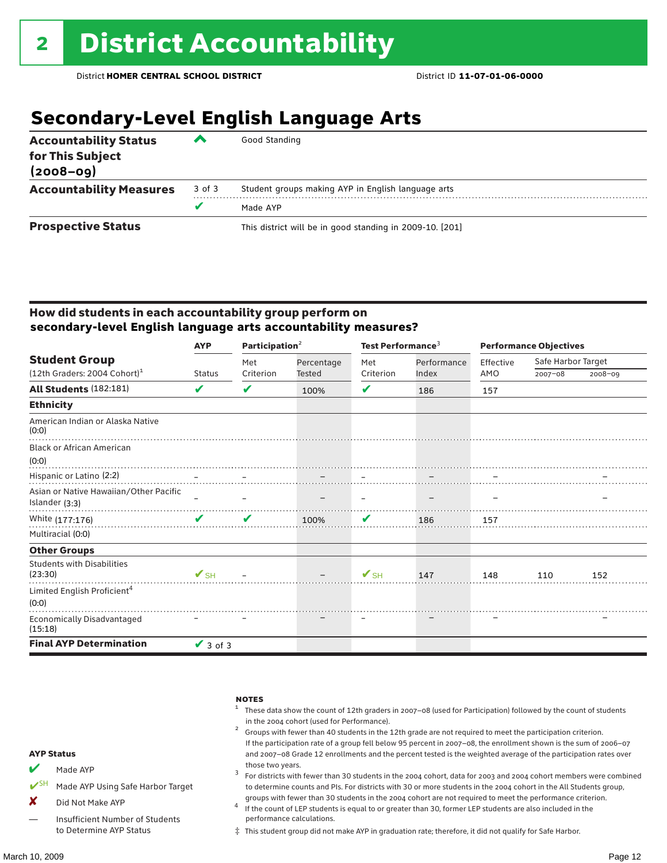### **Secondary-Level English Language Arts**

| <b>Accountability Status</b><br>for This Subject<br>$(2008 - 09)$ | ▰      | Good Standing                                            |  |  |  |
|-------------------------------------------------------------------|--------|----------------------------------------------------------|--|--|--|
| <b>Accountability Measures</b>                                    | 3 of 3 | Student groups making AYP in English language arts       |  |  |  |
|                                                                   |        | Made AYP                                                 |  |  |  |
| <b>Prospective Status</b>                                         |        | This district will be in good standing in 2009-10. [201] |  |  |  |

#### How did students in each accountability group perform on **secondary-level English language arts accountability measures?**

|                                                  | <b>AYP</b>               | Participation $2$ |            | Test Performance <sup>3</sup> |             | <b>Performance Objectives</b> |                    |             |
|--------------------------------------------------|--------------------------|-------------------|------------|-------------------------------|-------------|-------------------------------|--------------------|-------------|
| <b>Student Group</b>                             |                          | Met               | Percentage | Met                           | Performance | Effective                     | Safe Harbor Target |             |
| $(12th$ Graders: 2004 Cohort) <sup>1</sup>       | Status                   | Criterion         | Tested     | Criterion                     | Index       | AMO                           | $2007 - 08$        | $2008 - 09$ |
| All Students (182:181)                           | V                        | V                 | 100%       | V                             | 186         | 157                           |                    |             |
| <b>Ethnicity</b>                                 |                          |                   |            |                               |             |                               |                    |             |
| American Indian or Alaska Native<br>(0:0)        |                          |                   |            |                               |             |                               |                    |             |
| <b>Black or African American</b>                 |                          |                   |            |                               |             |                               |                    |             |
| (0:0)                                            |                          |                   |            |                               |             |                               |                    |             |
| Hispanic or Latino (2:2)                         |                          |                   |            |                               |             |                               |                    |             |
| Asian or Native Hawaiian/Other Pacific           |                          |                   |            |                               |             |                               |                    |             |
| Islander (3:3)                                   |                          |                   |            |                               |             |                               |                    |             |
| White (177:176)                                  | $\mathbf{v}$             | V                 | 100%       | V                             | 186         | 157                           |                    |             |
| Multiracial (0:0)                                |                          |                   |            |                               |             |                               |                    |             |
| <b>Other Groups</b>                              |                          |                   |            |                               |             |                               |                    |             |
| <b>Students with Disabilities</b><br>(23:30)     | $\mathbf{V}_{\text{SH}}$ |                   |            | $V$ SH                        | 147         | 148                           | 110                | 152         |
| Limited English Proficient <sup>4</sup><br>(0:0) |                          |                   |            |                               |             |                               |                    |             |
| Economically Disadvantaged<br>(15:18)            |                          |                   |            |                               |             |                               |                    |             |
| <b>Final AYP Determination</b>                   | $\vee$ 3 of 3            |                   |            |                               |             |                               |                    |             |

|                         |                                   | <b>NOTES</b><br>These data show the count of 12th graders in 2007-08 (used for Participation) followed by the count of students<br>in the 2004 cohort (used for Performance).<br>Groups with fewer than 40 students in the 12th grade are not required to meet the participation criterion.<br>If the participation rate of a group fell below 95 percent in 2007-08, the enrollment shown is the sum of 2006-07 |
|-------------------------|-----------------------------------|------------------------------------------------------------------------------------------------------------------------------------------------------------------------------------------------------------------------------------------------------------------------------------------------------------------------------------------------------------------------------------------------------------------|
| <b>AYP Status</b>       |                                   | and 2007-08 Grade 12 enrollments and the percent tested is the weighted average of the participation rates over                                                                                                                                                                                                                                                                                                  |
| $\overline{\mathbf{v}}$ | Made AYP                          | those two years.<br>For districts with fewer than 30 students in the 2004 cohort, data for 2003 and 2004 cohort members were combined                                                                                                                                                                                                                                                                            |
|                         | Made AYP Using Safe Harbor Target | to determine counts and PIs. For districts with 30 or more students in the 2004 cohort in the All Students group,                                                                                                                                                                                                                                                                                                |
| X                       | Did Not Make AYP                  | groups with fewer than 30 students in the 2004 cohort are not required to meet the performance criterion.<br>If the count of LEP students is equal to or greater than 30, former LEP students are also included in the                                                                                                                                                                                           |
|                         | Insufficient Number of Students   | performance calculations.                                                                                                                                                                                                                                                                                                                                                                                        |

‡ This student group did not make AYP in graduation rate; therefore, it did not qualify for Safe Harbor.

to Determine AYP Status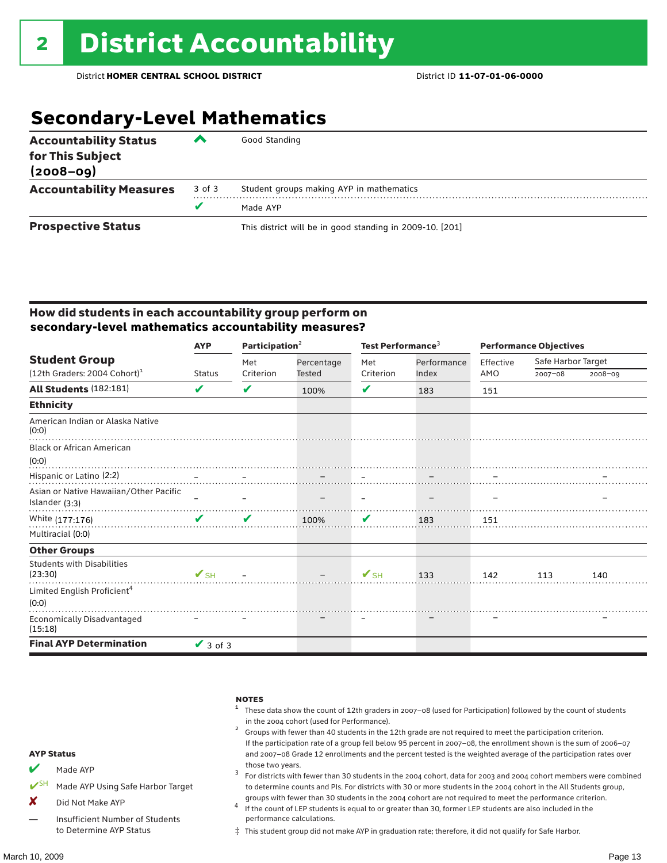### **Secondary-Level Mathematics**

| <b>Accountability Status</b><br>for This Subject<br>$(2008 - 09)$ | ‴      | Good Standing                                            |  |  |  |  |
|-------------------------------------------------------------------|--------|----------------------------------------------------------|--|--|--|--|
| <b>Accountability Measures</b>                                    | 3 of 3 | Student groups making AYP in mathematics                 |  |  |  |  |
|                                                                   | v      | Made AYP                                                 |  |  |  |  |
| <b>Prospective Status</b>                                         |        | This district will be in good standing in 2009-10. [201] |  |  |  |  |

#### How did students in each accountability group perform on **secondary-level mathematics accountability measures?**

|                                                  | <b>AYP</b>               | Participation <sup>2</sup> |            | Test Performance <sup>3</sup> |             | <b>Performance Objectives</b> |                    |             |
|--------------------------------------------------|--------------------------|----------------------------|------------|-------------------------------|-------------|-------------------------------|--------------------|-------------|
| <b>Student Group</b>                             |                          | Met                        | Percentage | Met                           | Performance | Effective                     | Safe Harbor Target |             |
| (12th Graders: 2004 Cohort) <sup>1</sup>         | Status                   | Criterion                  | Tested     | Criterion                     | Index       | AMO                           | $2007 - 08$        | $2008 - 09$ |
| <b>All Students (182:181)</b>                    | V                        | ✔                          | 100%       | V                             | 183         | 151                           |                    |             |
| <b>Ethnicity</b>                                 |                          |                            |            |                               |             |                               |                    |             |
| American Indian or Alaska Native<br>(0:0)        |                          |                            |            |                               |             |                               |                    |             |
| <b>Black or African American</b>                 |                          |                            |            |                               |             |                               |                    |             |
| (0:0)                                            |                          |                            |            |                               |             |                               |                    |             |
| Hispanic or Latino (2:2)                         |                          |                            |            |                               |             |                               |                    |             |
| Asian or Native Hawaiian/Other Pacific           |                          |                            |            |                               |             |                               |                    |             |
| Islander (3:3)                                   |                          |                            |            |                               |             |                               |                    |             |
| White (177:176)                                  | V                        | V                          | 100%       | V                             | 183         | 151                           |                    |             |
| Multiracial (0:0)                                |                          |                            |            |                               |             |                               |                    |             |
| <b>Other Groups</b>                              |                          |                            |            |                               |             |                               |                    |             |
| <b>Students with Disabilities</b><br>(23:30)     | $\mathbf{V}_{\text{SH}}$ |                            |            | $\mathbf{V}_{\text{SH}}$      | 133         | 142                           | 113                | 140         |
| Limited English Proficient <sup>4</sup><br>(0:0) |                          |                            |            |                               |             |                               |                    |             |
| Economically Disadvantaged<br>(15:18)            |                          |                            |            |                               |             |                               |                    |             |
| <b>Final AYP Determination</b>                   | $\vee$ 3 of 3            |                            |            |                               |             |                               |                    |             |

|                    |                                        | <b>NOTES</b><br>These data show the count of 12th graders in 2007-08 (used for Participation) followed by the count of students<br>in the 2004 cohort (used for Performance).<br>Groups with fewer than 40 students in the 12th grade are not required to meet the participation criterion.<br>If the participation rate of a group fell below 95 percent in 2007-08, the enrollment shown is the sum of 2006-07 |
|--------------------|----------------------------------------|------------------------------------------------------------------------------------------------------------------------------------------------------------------------------------------------------------------------------------------------------------------------------------------------------------------------------------------------------------------------------------------------------------------|
| <b>AYP Status</b>  |                                        | and 2007-08 Grade 12 enrollments and the percent tested is the weighted average of the participation rates over                                                                                                                                                                                                                                                                                                  |
| $\boldsymbol{\nu}$ | Made AYP                               | those two years.<br>For districts with fewer than 30 students in the 2004 cohort, data for 2003 and 2004 cohort members were combined                                                                                                                                                                                                                                                                            |
|                    | Made AYP Using Safe Harbor Target      | to determine counts and PIs. For districts with 30 or more students in the 2004 cohort in the All Students group,                                                                                                                                                                                                                                                                                                |
| x                  | Did Not Make AYP                       | groups with fewer than 30 students in the 2004 cohort are not required to meet the performance criterion.<br>If the count of LEP students is equal to or greater than 30, former LEP students are also included in the                                                                                                                                                                                           |
|                    | <b>Insufficient Number of Students</b> | performance calculations.                                                                                                                                                                                                                                                                                                                                                                                        |

‡ This student group did not make AYP in graduation rate; therefore, it did not qualify for Safe Harbor.

— Insufficient Number of Students to Determine AYP Status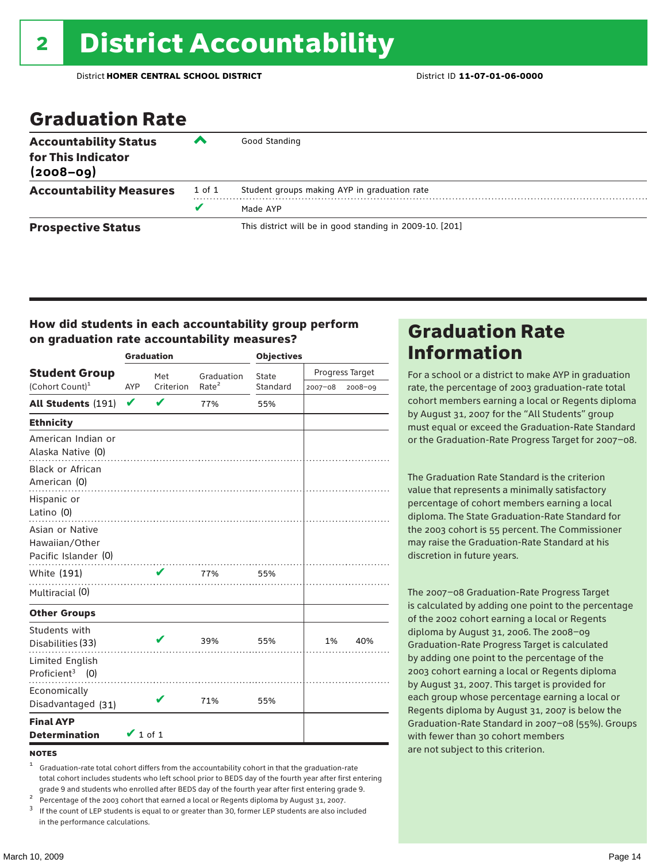### Graduation Rate

| <b>Accountability Status</b><br>for This Indicator<br>$(2008 - 09)$ | ∕∿     | Good Standing                                            |
|---------------------------------------------------------------------|--------|----------------------------------------------------------|
| <b>Accountability Measures</b>                                      | 1 of 1 | Student groups making AYP in graduation rate             |
|                                                                     |        | Made AYP                                                 |
| <b>Prospective Status</b>                                           |        | This district will be in good standing in 2009-10. [201] |

#### How did students in each accountability group perform on graduation rate accountability measures?

|                                                  |               | <b>Graduation</b> |                   | <b>Objectives</b> |                 |         |  |
|--------------------------------------------------|---------------|-------------------|-------------------|-------------------|-----------------|---------|--|
| <b>Student Group</b>                             |               | Met               | Graduation        | State             | Progress Target |         |  |
| (Cohort Count) <sup>1</sup>                      | AYP           | Criterion         | Rate <sup>2</sup> | Standard          | 2007-08         | 2008-09 |  |
| All Students (191)                               | $\checkmark$  | $\mathbf v$       | 77%               | 55%               |                 |         |  |
| <b>Ethnicity</b>                                 |               |                   |                   |                   |                 |         |  |
| American Indian or<br>Alaska Native (0)          |               |                   |                   |                   |                 |         |  |
| Black or African<br>American (0)                 |               |                   |                   |                   |                 |         |  |
| Hispanic or<br>Latino (0)                        |               |                   |                   |                   |                 |         |  |
| Asian or Native<br>Hawaiian/Other                |               |                   |                   |                   |                 |         |  |
| Pacific Islander (0)                             |               |                   |                   |                   |                 |         |  |
| White (191)                                      |               | V                 | 77%<br>.          | 55%               |                 |         |  |
| Multiracial (0)                                  |               |                   |                   |                   |                 |         |  |
| <b>Other Groups</b>                              |               |                   |                   |                   |                 |         |  |
| Students with<br>Disabilities (33)               |               |                   | 39%               | 55%               | 1%              | 40%     |  |
| Limited English<br>Proficient <sup>3</sup> $(0)$ |               |                   |                   |                   |                 |         |  |
| Economically<br>Disadvantaged (31)               |               |                   | 71%               | 55%               |                 |         |  |
| <b>Final AYP</b><br><b>Determination</b>         | $\vee$ 1 of 1 |                   |                   |                   |                 |         |  |

#### **NOTES**

<sup>1</sup> Graduation-rate total cohort differs from the accountability cohort in that the graduation-rate total cohort includes students who left school prior to BEDS day of the fourth year after first entering

grade 9 and students who enrolled after BEDS day of the fourth year after first entering grade 9.<br>
<sup>2</sup> Percentage of the 2003 cohort that earned a local or Regents diploma by August 31, 2007.<br>
<sup>3</sup> If the count of LEP stud in the performance calculations.

### Graduation Rate Information

For a school or a district to make AYP in graduation rate, the percentage of 2003 graduation-rate total cohort members earning a local or Regents diploma by August 31, 2007 for the "All Students" group must equal or exceed the Graduation-Rate Standard or the Graduation-Rate Progress Target for 2007–08.

The Graduation Rate Standard is the criterion value that represents a minimally satisfactory percentage of cohort members earning a local diploma. The State Graduation-Rate Standard for the 2003 cohort is 55 percent. The Commissioner may raise the Graduation-Rate Standard at his discretion in future years.

The 2007–08 Graduation-Rate Progress Target is calculated by adding one point to the percentage of the 2002 cohort earning a local or Regents diploma by August 31, 2006. The 2008–09 Graduation-Rate Progress Target is calculated by adding one point to the percentage of the 2003 cohort earning a local or Regents diploma by August 31, 2007. This target is provided for each group whose percentage earning a local or Regents diploma by August 31, 2007 is below the Graduation-Rate Standard in 2007–08 (55%). Groups with fewer than 30 cohort members are not subject to this criterion.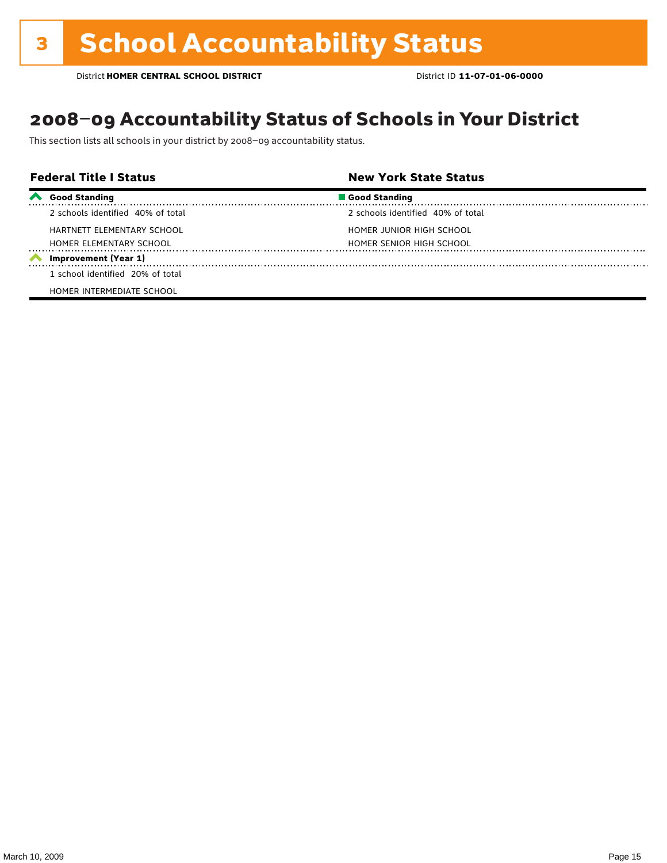### 2008–09 Accountability Status of Schools in Your District

This section lists all schools in your district by 2008–09 accountability status.

| <b>Federal Title I Status</b> |                                   | <b>New York State Status</b>      |  |
|-------------------------------|-----------------------------------|-----------------------------------|--|
|                               | Good Standing                     | Good Standing                     |  |
|                               | 2 schools identified 40% of total | 2 schools identified 40% of total |  |
|                               | HARTNETT ELEMENTARY SCHOOL        | HOMER JUNIOR HIGH SCHOOL          |  |
|                               | HOMER ELEMENTARY SCHOOL           | HOMER SENIOR HIGH SCHOOL          |  |
|                               | Improvement (Year 1)              |                                   |  |
|                               | 1 school identified 20% of total  |                                   |  |
|                               | HOMER INTERMEDIATE SCHOOL         |                                   |  |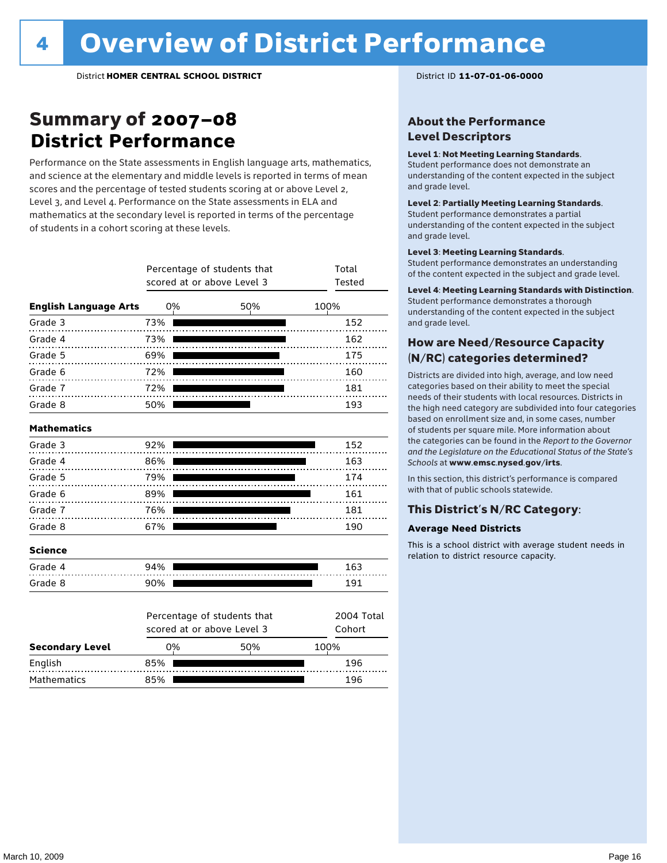### Summary of 2007–08 **District Performance**

Performance on the State assessments in English language arts, mathematics, and science at the elementary and middle levels is reported in terms of mean scores and the percentage of tested students scoring at or above Level 2, Level 3, and Level 4. Performance on the State assessments in ELA and mathematics at the secondary level is reported in terms of the percentage of students in a cohort scoring at these levels.

|                              | Percentage of students that<br>scored at or above Level 3 | Total<br>Tested                                           |                      |
|------------------------------|-----------------------------------------------------------|-----------------------------------------------------------|----------------------|
| <b>English Language Arts</b> | 0%                                                        | 50%                                                       | 100%                 |
| Grade 3                      | 73%                                                       |                                                           | 152                  |
| Grade 4<br>.                 | 73%                                                       |                                                           | 162                  |
| Grade 5                      | 69%                                                       |                                                           | 175                  |
| Grade 6                      | 72%                                                       |                                                           | 160                  |
| Grade 7                      | 72%                                                       |                                                           | 181                  |
| Grade 8                      | 50%                                                       |                                                           | 193                  |
| <b>Mathematics</b>           |                                                           |                                                           |                      |
| Grade 3                      | 92%                                                       |                                                           | 152                  |
| Grade 4                      | 86%                                                       |                                                           | 163                  |
| Grade 5                      | 79%                                                       |                                                           | 174                  |
| Grade 6                      | 89%                                                       |                                                           | 161                  |
| Grade 7                      | 76%                                                       |                                                           | 181                  |
| Grade 8                      | 67%                                                       |                                                           | 190                  |
| <b>Science</b>               |                                                           |                                                           |                      |
| Grade 4                      | 94%                                                       |                                                           | 163                  |
| Grade 8                      | 90%                                                       |                                                           | 191                  |
|                              |                                                           | Percentage of students that<br>scored at or above Level 3 | 2004 Total<br>Cohort |
| <b>Secondary Level</b>       | 0%                                                        | 50%                                                       | 100%                 |

English 85% 196 Mathematics 85% 85% 196

#### About the Performance Level Descriptors

#### Level 1: Not Meeting Learning Standards.

Student performance does not demonstrate an understanding of the content expected in the subject and grade level.

#### Level 2: Partially Meeting Learning Standards.

Student performance demonstrates a partial understanding of the content expected in the subject and grade level.

#### Level 3: Meeting Learning Standards.

Student performance demonstrates an understanding of the content expected in the subject and grade level.

#### Level 4: Meeting Learning Standards with Distinction.

Student performance demonstrates a thorough understanding of the content expected in the subject and grade level.

#### How are Need/Resource Capacity (N/RC) categories determined?

Districts are divided into high, average, and low need categories based on their ability to meet the special needs of their students with local resources. Districts in the high need category are subdivided into four categories based on enrollment size and, in some cases, number of students per square mile. More information about the categories can be found in the *Report to the Governor and the Legislature on the Educational Status of the State's Schools* at www.emsc.nysed.gov/irts.

In this section, this district's performance is compared with that of public schools statewide.

#### This District's N/RC Category:

#### **Average Need Districts**

This is a school district with average student needs in relation to district resource capacity.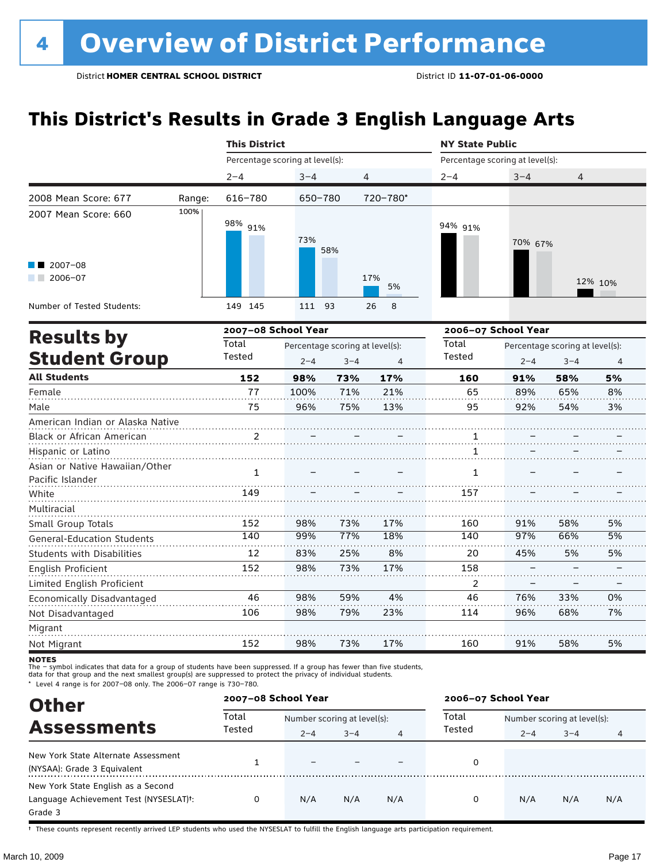### **This District's Results in Grade 3 English Language Arts**

|                                                    |        | <b>This District</b>            |         |                                 |           | <b>NY State Public</b>          |         |                                 |         |  |
|----------------------------------------------------|--------|---------------------------------|---------|---------------------------------|-----------|---------------------------------|---------|---------------------------------|---------|--|
|                                                    |        | Percentage scoring at level(s): |         |                                 |           | Percentage scoring at level(s): |         |                                 |         |  |
|                                                    |        | $2 - 4$                         | $3 - 4$ | 4                               |           | $2 - 4$                         | $3 - 4$ | 4                               |         |  |
| 2008 Mean Score: 677                               | Range: | 616-780                         | 650-780 |                                 | 720-780*  |                                 |         |                                 |         |  |
| 2007 Mean Score: 660                               | 100%   | 98% 91%                         | 73%     | 58%                             |           | 94% 91%                         | 70% 67% |                                 |         |  |
| $\blacksquare$ 2007-08<br>$2006 - 07$              |        |                                 |         |                                 | 17%<br>5% |                                 |         |                                 | 12% 10% |  |
| Number of Tested Students:                         |        | 149 145                         | 111     | 93                              | 8<br>26   |                                 |         |                                 |         |  |
| <b>Results by</b>                                  |        | 2007-08 School Year             |         |                                 |           | 2006-07 School Year             |         |                                 |         |  |
|                                                    |        | Total                           |         | Percentage scoring at level(s): |           | Total                           |         | Percentage scoring at level(s): |         |  |
| <b>Student Group</b>                               |        | Tested                          | $2 - 4$ | $3 - 4$                         | 4         | Tested                          | $2 - 4$ | $3 - 4$                         | 4       |  |
| <b>All Students</b>                                |        | 152                             | 98%     | 73%                             | 17%       | 160                             | 91%     | 58%                             | 5%      |  |
| Female                                             |        | 77                              | 100%    | 71%                             | 21%       | 65                              | 89%     | 65%                             | 8%      |  |
| Male                                               |        | 75                              | 96%     | 75%                             | 13%       | 95                              | 92%     | 54%                             | 3%      |  |
| American Indian or Alaska Native                   |        |                                 |         |                                 |           |                                 |         |                                 |         |  |
| Black or African American                          |        | 2                               |         |                                 |           | 1                               |         |                                 |         |  |
| Hispanic or Latino                                 |        |                                 |         |                                 |           | 1                               |         |                                 |         |  |
| Asian or Native Hawaiian/Other<br>Pacific Islander |        | $\mathbf{1}$                    |         |                                 |           | $\mathbf{1}$                    |         |                                 |         |  |
| White                                              |        | 149                             |         |                                 |           | 157                             |         |                                 |         |  |
| Multiracial                                        |        |                                 |         |                                 |           |                                 |         |                                 |         |  |
| Small Group Totals                                 |        | 152                             | 98%     | 73%                             | 17%       | 160                             | 91%     | 58%                             | 5%      |  |
| <b>General-Education Students</b>                  |        | 140                             | 99%     | 77%                             | 18%       | 140                             | 97%     | 66%                             | 5%      |  |
| <b>Students with Disabilities</b>                  |        | 12                              | 83%     | 25%                             | 8%        | 20                              | 45%     | 5%                              | 5%      |  |
| English Proficient                                 |        | 152                             | 98%     | 73%                             | 17%       | 158                             |         |                                 |         |  |
| Limited English Proficient                         |        |                                 |         |                                 |           | $\overline{2}$                  |         |                                 |         |  |
| Economically Disadvantaged                         |        | 46                              | 98%     | 59%                             | 4%        | 46                              | 76%     | 33%                             | 0%      |  |
| Not Disadvantaged                                  |        | 106                             | 98%     | 79%                             | 23%       | 114                             | 96%     | 68%                             | 7%      |  |
| Migrant                                            |        |                                 |         |                                 |           |                                 |         |                                 |         |  |
| Not Migrant                                        |        | 152                             | 98%     | 73%                             | 17%       | 160                             | 91%     | 58%                             | 5%      |  |

**NOTES** 

The – symbol indicates that data for a group of students have been suppressed. If a group has fewer than five students,<br>data for that group and the next smallest group(s) are suppressed to protect the privacy of individual

\* Level 4 range is for 2007–08 only. The 2006–07 range is 730–780.

|                                                                                                                                                                                                       | 2007-08 School Year |         |                             |     | 2006-07 School Year |                             |         |     |  |
|-------------------------------------------------------------------------------------------------------------------------------------------------------------------------------------------------------|---------------------|---------|-----------------------------|-----|---------------------|-----------------------------|---------|-----|--|
| <b>Other</b><br><b>Assessments</b><br>New York State Alternate Assessment<br>(NYSAA): Grade 3 Equivalent<br>New York State English as a Second<br>Language Achievement Test (NYSESLAT) <sup>+</sup> : | Total<br>Tested     |         | Number scoring at level(s): |     |                     | Number scoring at level(s): |         |     |  |
|                                                                                                                                                                                                       |                     | $2 - 4$ | $3 - 4$                     | 4   | Tested              | $2 - 4$                     | $3 - 4$ | 4   |  |
|                                                                                                                                                                                                       |                     |         |                             |     |                     |                             |         |     |  |
| Grade 3                                                                                                                                                                                               |                     | N/A     | N/A                         | N/A | 0                   | N/A                         | N/A     | N/A |  |

† These counts represent recently arrived LEP students who used the NYSESLAT to fulfill the English language arts participation requirement.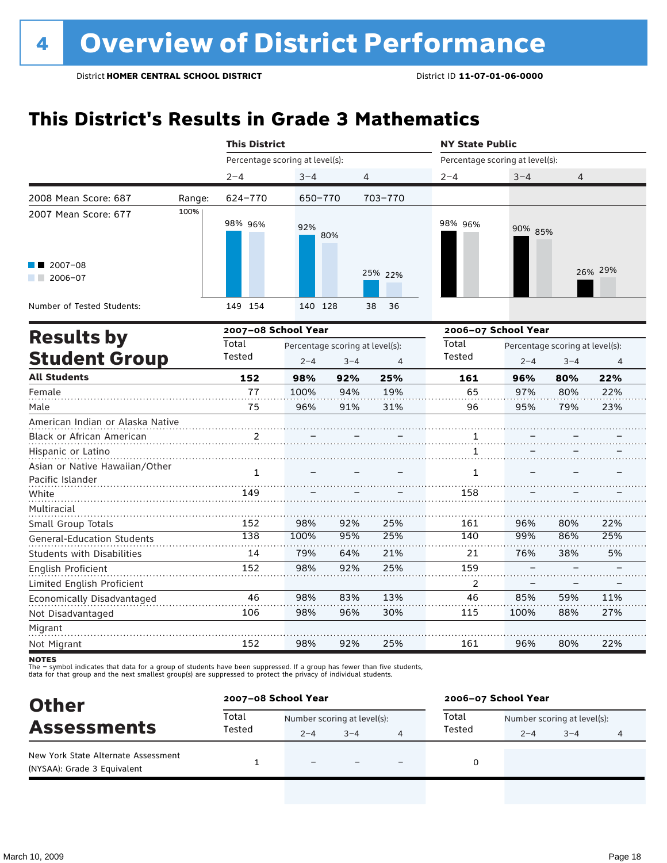### **This District's Results in Grade 3 Mathematics**

|                                                               |        | <b>This District</b>            |                                            |         |                | <b>NY State Public</b>          |                     |                                            |         |
|---------------------------------------------------------------|--------|---------------------------------|--------------------------------------------|---------|----------------|---------------------------------|---------------------|--------------------------------------------|---------|
|                                                               |        | Percentage scoring at level(s): |                                            |         |                | Percentage scoring at level(s): |                     |                                            |         |
|                                                               |        | $2 - 4$                         | $3 - 4$                                    |         | 4              | $2 - 4$                         | $3 - 4$             | 4                                          |         |
| 2008 Mean Score: 687                                          | Range: | 624-770                         | 650-770                                    |         | 703-770        |                                 |                     |                                            |         |
| 2007 Mean Score: 677                                          | 100%   | 98% 96%                         | 92%                                        | 80%     |                | 98% 96%                         | 90% 85%             |                                            |         |
| 2007-08<br>2006-07                                            |        |                                 |                                            |         | 25% 22%        |                                 |                     |                                            | 26% 29% |
| Number of Tested Students:                                    |        | 149 154                         | 140 128                                    |         | 38<br>36       |                                 |                     |                                            |         |
| <b>Results by</b>                                             |        | 2007-08 School Year             |                                            |         |                |                                 | 2006-07 School Year |                                            |         |
| <b>Student Group</b>                                          |        | Total<br>Tested                 | Percentage scoring at level(s):<br>$2 - 4$ | $3 - 4$ | $\overline{4}$ | Total<br><b>Tested</b>          | $2 - 4$             | Percentage scoring at level(s):<br>$3 - 4$ | 4       |
| <b>All Students</b>                                           |        | 152                             | 98%                                        | 92%     | 25%            | 161                             | 96%                 | 80%                                        | 22%     |
| Female                                                        |        | 77                              | 100%                                       | 94%     | 19%            | 65                              | 97%                 | 80%                                        | 22%     |
| Male                                                          |        | 75                              | 96%                                        | 91%     | 31%            | 96                              | 95%                 | 79%                                        | 23%     |
| American Indian or Alaska Native<br>Black or African American |        | 2                               |                                            |         |                | 1                               |                     |                                            |         |
| Hispanic or Latino                                            |        |                                 |                                            |         |                | 1                               |                     |                                            |         |
| Asian or Native Hawaiian/Other<br>Pacific Islander            |        | $\mathbf{1}$                    |                                            |         |                | $\mathbf{1}$                    |                     |                                            |         |
| White                                                         |        | 149                             |                                            |         |                | 158                             |                     |                                            |         |
| Multiracial<br>Small Group Totals                             |        | 152                             | 98%                                        | 92%     | 25%            | 161                             | 96%                 | 80%                                        | 22%     |
| General-Education Students                                    |        | 138                             | 100%                                       | 95%     | 25%            | 140                             | 99%                 | 86%                                        | 25%     |
| Students with Disabilities                                    |        | 14                              | 79%                                        | 64%     | 21%            | 21                              | 76%                 | 38%                                        | 5%      |
| English Proficient                                            |        | 152                             | 98%                                        | 92%     | 25%            | 159                             |                     |                                            |         |
| Limited English Proficient                                    |        |                                 |                                            |         |                | 2                               |                     |                                            |         |
| Economically Disadvantaged                                    |        | 46                              | 98%                                        | 83%     | 13%            | 46                              | 85%                 | 59%                                        | 11%     |
| Not Disadvantaged                                             |        | 106                             | 98%                                        | 96%     | 30%            | 115                             | 100%                | 88%                                        | 27%     |
| Migrant                                                       |        |                                 |                                            |         |                |                                 |                     |                                            |         |
| Not Migrant                                                   |        | 152                             | 98%                                        | 92%     | 25%            | 161                             | 96%                 | 80%                                        | 22%     |

**NOTES** 

|                                                                    | 2007-08 School Year |                             |         |  | 2006-07 School Year |                             |         |  |  |
|--------------------------------------------------------------------|---------------------|-----------------------------|---------|--|---------------------|-----------------------------|---------|--|--|
| <b>Other</b><br><b>Assessments</b>                                 | Total               | Number scoring at level(s): |         |  | Total               | Number scoring at level(s): |         |  |  |
|                                                                    | Tested              | $2 - 4$                     | $3 - 4$ |  | Tested              | $2 - 4$                     | $3 - 4$ |  |  |
| New York State Alternate Assessment<br>(NYSAA): Grade 3 Equivalent |                     | $\equiv$                    |         |  | 0                   |                             |         |  |  |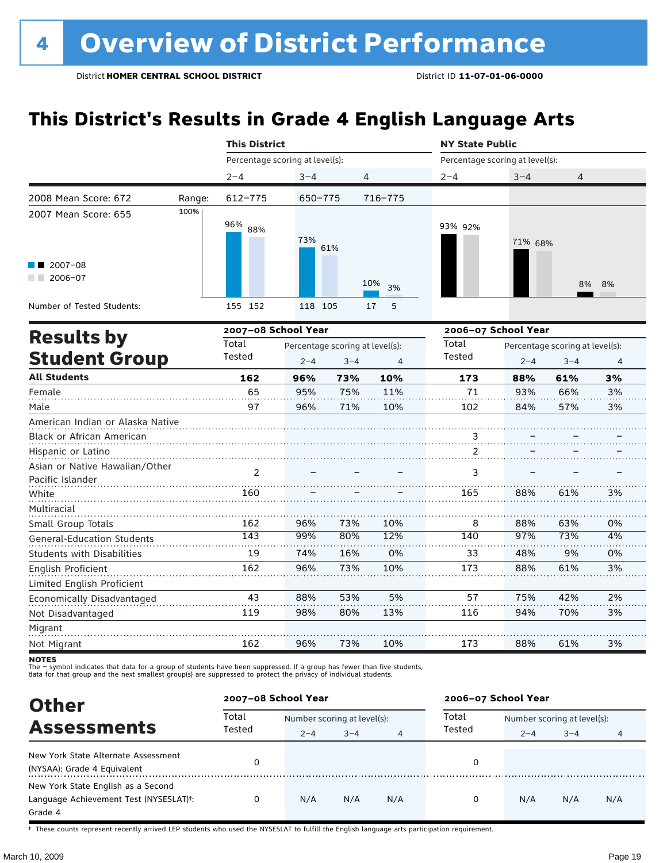### **This District's Results in Grade 4 English Language Arts**

|                                                    |        | <b>This District</b>            |                                            |                |             | <b>NY State Public</b>          |                     |                                            |                |  |
|----------------------------------------------------|--------|---------------------------------|--------------------------------------------|----------------|-------------|---------------------------------|---------------------|--------------------------------------------|----------------|--|
|                                                    |        | Percentage scoring at level(s): |                                            |                |             | Percentage scoring at level(s): |                     |                                            |                |  |
|                                                    |        | $2 - 4$                         | $3 - 4$                                    | $\overline{4}$ |             | $2 - 4$                         | $3 - 4$             | 4                                          |                |  |
| 2008 Mean Score: 672                               | Range: | $612 - 775$                     | 650-775                                    |                | $716 - 775$ |                                 |                     |                                            |                |  |
| 2007 Mean Score: 655                               | 100%   | 96% 88%                         | 73%                                        | 61%            |             | 93% 92%                         | 71% 68%             |                                            |                |  |
| $2007 - 08$<br>$2006 - 07$<br>a sa ta              |        |                                 |                                            |                | 10%<br>3%   |                                 |                     | 8%                                         | 8%             |  |
| Number of Tested Students:                         |        | 155 152                         | 118 105                                    |                | 17<br>5     |                                 |                     |                                            |                |  |
|                                                    |        | 2007-08 School Year             |                                            |                |             |                                 | 2006-07 School Year |                                            |                |  |
| <b>Results by</b><br><b>Student Group</b>          |        | Total<br>Tested                 | Percentage scoring at level(s):<br>$2 - 4$ | $3 - 4$        | 4           | Total<br>Tested                 | $2 - 4$             | Percentage scoring at level(s):<br>$3 - 4$ | $\overline{4}$ |  |
| <b>All Students</b>                                |        | 162                             | 96%                                        | 73%            | 10%         | 173                             | 88%                 | 61%                                        | 3%             |  |
| Female                                             |        | 65                              | 95%                                        | 75%            | 11%         | 71                              | 93%                 | 66%                                        | 3%             |  |
| Male                                               |        | 97                              | 96%                                        | 71%            | 10%         | 102                             | 84%                 | 57%                                        | 3%             |  |
| American Indian or Alaska Native                   |        |                                 |                                            |                |             |                                 |                     |                                            |                |  |
| Black or African American                          |        |                                 |                                            |                |             | 3                               |                     |                                            |                |  |
| Hispanic or Latino                                 |        |                                 |                                            |                |             | 2                               |                     |                                            |                |  |
| Asian or Native Hawaiian/Other<br>Pacific Islander |        | 2                               |                                            |                |             | 3                               |                     |                                            |                |  |
| White                                              |        | 160                             |                                            |                |             | 165                             | 88%                 | 61%                                        | 3%             |  |
| Multiracial<br>Small Group Totals                  |        | 162                             | 96%                                        | 73%            | 10%         | 8                               | 88%                 | 63%                                        | 0%             |  |
| <b>General-Education Students</b>                  |        | 143                             | 99%                                        | 80%            | 12%         | 140                             | 97%                 | 73%                                        | 4%             |  |
| <b>Students with Disabilities</b>                  |        | 19                              | 74%                                        | 16%            | 0%          | 33                              | 48%                 | 9%                                         | 0%             |  |
| English Proficient                                 |        | 162                             | 96%                                        | 73%            | 10%         | 173                             | 88%                 | 61%                                        | 3%             |  |
| Limited English Proficient                         |        |                                 |                                            |                |             |                                 |                     |                                            |                |  |
| Economically Disadvantaged                         |        | 43                              | 88%                                        | 53%            | 5%          | 57                              | 75%                 | 42%                                        | 2%             |  |
| Not Disadvantaged                                  |        | 119                             | 98%                                        | 80%            | 13%         | 116                             | 94%                 | 70%                                        | 3%             |  |
| Migrant                                            |        |                                 |                                            |                |             |                                 |                     |                                            |                |  |
| Not Migrant                                        |        | 162                             | 96%                                        | 73%            | 10%         | 173                             | 88%                 | 61%                                        | 3%             |  |

**NOTES** 

The – symbol indicates that data for a group of students have been suppressed. If a group has fewer than five students,<br>data for that group and the next smallest group(s) are suppressed to protect the privacy of individual

| <b>Other</b>                                                                            |        | 2007-08 School Year         |         |     |        | 2006-07 School Year         |         |     |  |
|-----------------------------------------------------------------------------------------|--------|-----------------------------|---------|-----|--------|-----------------------------|---------|-----|--|
|                                                                                         | Total  | Number scoring at level(s): |         |     | Total  | Number scoring at level(s): |         |     |  |
| <b>Assessments</b>                                                                      | Tested | $2 - 4$                     | $3 - 4$ | 4   | Tested | $2 - 4$                     | $3 - 4$ | 4   |  |
| New York State Alternate Assessment<br>(NYSAA): Grade 4 Equivalent                      | 0      |                             |         |     | 0      |                             |         |     |  |
| New York State English as a Second<br>Language Achievement Test (NYSESLAT)t:<br>Grade 4 | 0      | N/A                         | N/A     | N/A | 0      | N/A                         | N/A     | N/A |  |

† These counts represent recently arrived LEP students who used the NYSESLAT to fulfill the English language arts participation requirement.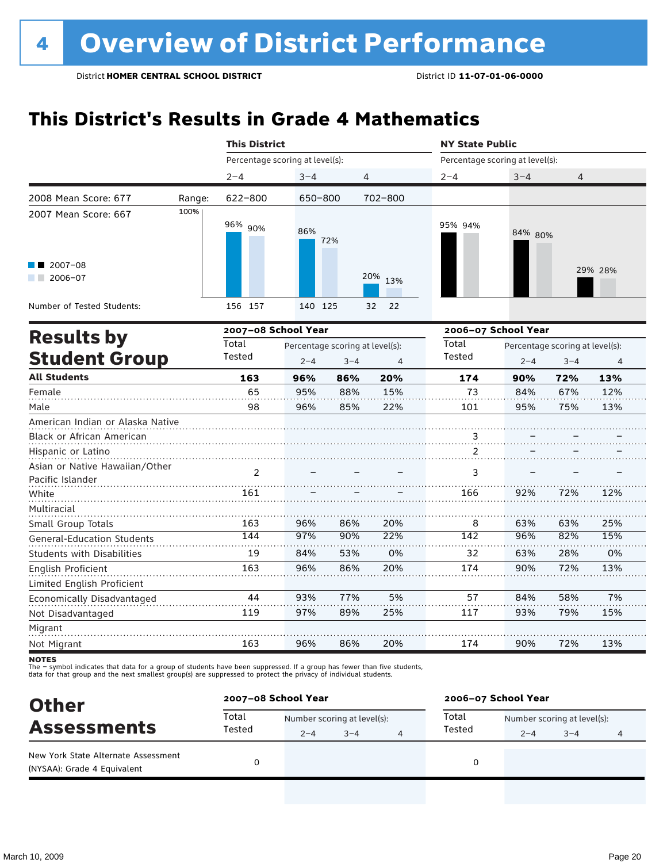### **This District's Results in Grade 4 Mathematics**

|                                                    |        | <b>This District</b>                     |         |         |          | <b>NY State Public</b>                   |                     |         |         |  |
|----------------------------------------------------|--------|------------------------------------------|---------|---------|----------|------------------------------------------|---------------------|---------|---------|--|
|                                                    |        | Percentage scoring at level(s):          |         |         |          | Percentage scoring at level(s):          |                     |         |         |  |
|                                                    |        | $2 - 4$                                  | $3 - 4$ | 4       |          | $2 - 4$                                  | $3 - 4$             | 4       |         |  |
| 2008 Mean Score: 677                               | Range: | 622-800                                  | 650-800 |         | 702-800  |                                          |                     |         |         |  |
| 2007 Mean Score: 667                               | 100%   | 96% 90%                                  | 86%     | 72%     |          | 95% 94%                                  | 84% 80%             |         |         |  |
| $2007 - 08$                                        |        |                                          |         |         | 20%      |                                          |                     |         | 29% 28% |  |
| $2006 - 07$                                        |        |                                          |         |         | 13%      |                                          |                     |         |         |  |
| Number of Tested Students:                         |        | 156 157                                  | 140 125 |         | 32<br>22 |                                          |                     |         |         |  |
| <b>Results by</b>                                  |        | 2007-08 School Year                      |         |         |          |                                          | 2006-07 School Year |         |         |  |
|                                                    |        | Total<br>Percentage scoring at level(s): |         |         |          | Total<br>Percentage scoring at level(s): |                     |         |         |  |
| <b>Student Group</b>                               |        | Tested                                   | $2 - 4$ | $3 - 4$ | 4        | Tested                                   | $2 - 4$             | $3 - 4$ | 4       |  |
| <b>All Students</b>                                |        | 163                                      | 96%     | 86%     | 20%      | 174                                      | 90%                 | 72%     | 13%     |  |
| Female                                             |        | 65                                       | 95%     | 88%     | 15%      | 73                                       | 84%                 | 67%     | 12%     |  |
| Male                                               |        | 98                                       | 96%     | 85%     | 22%      | 101                                      | 95%                 | 75%     | 13%     |  |
| American Indian or Alaska Native                   |        |                                          |         |         |          |                                          |                     |         |         |  |
| Black or African American                          |        |                                          |         |         |          | $\ddot{3}$                               |                     |         |         |  |
| Hispanic or Latino                                 |        |                                          |         |         |          | 2                                        |                     |         |         |  |
| Asian or Native Hawaiian/Other<br>Pacific Islander |        | $\overline{2}$                           |         |         |          | 3                                        |                     |         |         |  |
| White                                              |        | 161                                      |         |         |          | 166                                      | 92%                 | 72%     | 12%     |  |
| Multiracial                                        |        |                                          |         |         |          |                                          |                     |         |         |  |
| Small Group Totals                                 |        | 163                                      | 96%     | 86%     | 20%      | 8                                        | 63%                 | 63%     | 25%     |  |
| <b>General-Education Students</b>                  |        | 144                                      | 97%     | 90%     | 22%      | 142                                      | 96%                 | 82%     | 15%     |  |
| <b>Students with Disabilities</b>                  |        | 19                                       | 84%     | 53%     | 0%       | 32                                       | 63%                 | 28%     | 0%      |  |
| <b>English Proficient</b>                          |        | 163                                      | 96%     | 86%     | 20%      | 174                                      | 90%                 | 72%     | 13%     |  |
| Limited English Proficient                         |        |                                          |         |         |          |                                          |                     |         |         |  |
| Economically Disadvantaged                         |        | 44                                       | 93%     | 77%     | 5%       | 57                                       | 84%                 | 58%     | 7%      |  |
| Not Disadvantaged                                  |        | 119                                      | 97%     | 89%     | 25%      | 117                                      | 93%                 | 79%     | 15%     |  |
| Migrant                                            |        |                                          |         |         |          |                                          |                     |         |         |  |
| Not Migrant                                        |        | 163                                      | 96%     | 86%     | 20%      | 174                                      | 90%                 | 72%     | 13%     |  |

**NOTES** 

| <b>Other</b><br><b>Assessments</b>                                 |        | 2007-08 School Year |                             |  |        | 2006-07 School Year |                             |  |  |
|--------------------------------------------------------------------|--------|---------------------|-----------------------------|--|--------|---------------------|-----------------------------|--|--|
|                                                                    | Total  |                     | Number scoring at level(s): |  |        |                     | Number scoring at level(s): |  |  |
|                                                                    | Tested | $2 - 4$             | $3 - 4$                     |  | Tested | $2 - 4$             | $3 - 4$                     |  |  |
| New York State Alternate Assessment<br>(NYSAA): Grade 4 Equivalent |        |                     |                             |  | 0      |                     |                             |  |  |
|                                                                    |        |                     |                             |  |        |                     |                             |  |  |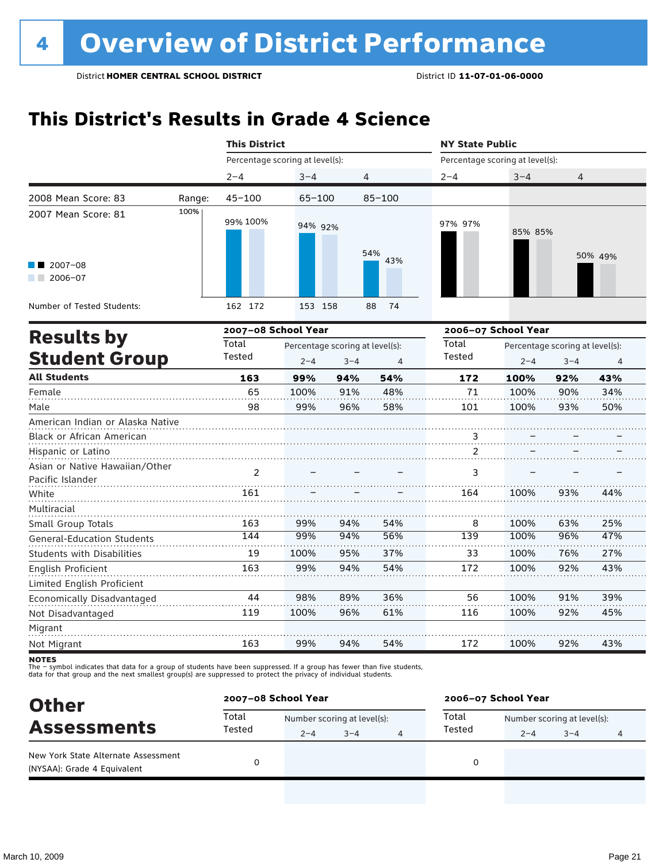### **This District's Results in Grade 4 Science**

|                                                    |        | <b>This District</b>            |                                 |         |            | <b>NY State Public</b>          |                     |         |                                 |  |
|----------------------------------------------------|--------|---------------------------------|---------------------------------|---------|------------|---------------------------------|---------------------|---------|---------------------------------|--|
|                                                    |        | Percentage scoring at level(s): |                                 |         |            | Percentage scoring at level(s): |                     |         |                                 |  |
|                                                    |        | $2 - 4$                         | $3 - 4$                         |         | 4          | $2 - 4$                         | $3 - 4$             | 4       |                                 |  |
| 2008 Mean Score: 83                                | Range: | $45 - 100$                      | 65-100                          |         | $85 - 100$ |                                 |                     |         |                                 |  |
| 2007 Mean Score: 81                                | 100%   | 99% 100%                        | 94% 92%                         |         | 54%        | 97% 97%                         | 85% 85%             |         | 50% 49%                         |  |
| $2007 - 08$<br>$12006 - 07$                        |        |                                 |                                 |         | 43%        |                                 |                     |         |                                 |  |
| Number of Tested Students:                         |        | 162 172                         | 153 158                         |         | 88<br>74   |                                 |                     |         |                                 |  |
|                                                    |        | 2007-08 School Year             |                                 |         |            |                                 | 2006-07 School Year |         |                                 |  |
| <b>Results by</b>                                  |        | Total                           | Percentage scoring at level(s): |         |            | Total                           |                     |         | Percentage scoring at level(s): |  |
| <b>Student Group</b>                               |        | Tested                          | $2 - 4$                         | $3 - 4$ | 4          | Tested                          | $2 - 4$             | $3 - 4$ | 4                               |  |
| <b>All Students</b>                                |        | 163                             | 99%                             | 94%     | 54%        | 172                             | 100%                | 92%     | 43%                             |  |
| Female                                             |        | 65                              | 100%                            | 91%     | 48%        | 71                              | 100%                | 90%     | 34%                             |  |
| Male                                               |        | 98                              | 99%                             | 96%     | 58%        | 101                             | 100%                | 93%     | 50%                             |  |
| American Indian or Alaska Native                   |        |                                 |                                 |         |            |                                 |                     |         |                                 |  |
| Black or African American                          |        |                                 |                                 |         |            | 3                               |                     |         |                                 |  |
| Hispanic or Latino                                 |        |                                 |                                 |         |            | 2                               |                     |         |                                 |  |
| Asian or Native Hawaiian/Other<br>Pacific Islander |        | 2                               |                                 |         |            | 3                               |                     |         |                                 |  |
| White                                              |        | 161                             |                                 |         |            | 164                             | 100%                | 93%     | 44%                             |  |
| Multiracial<br>Small Group Totals                  |        | 163                             | 99%                             | 94%     | 54%        | 8                               | 100%                | 63%     | 25%                             |  |
| <b>General-Education Students</b>                  |        | 144                             | 99%                             | 94%     | 56%        | 139                             | 100%                | 96%     | 47%                             |  |
| Students with Disabilities                         |        | 19                              | 100%                            | 95%     | 37%        | 33                              | 100%                | 76%     | 27%                             |  |
| <b>English Proficient</b>                          |        | 163                             | 99%                             | 94%     | 54%        | 172                             | 100%                | 92%     | 43%                             |  |
| Limited English Proficient                         |        |                                 |                                 |         |            |                                 |                     |         |                                 |  |
| Economically Disadvantaged                         |        | 44                              | 98%                             | 89%     | 36%        | 56                              | 100%                | 91%     | 39%                             |  |
| Not Disadvantaged                                  |        | 119                             | 100%                            | 96%     | 61%        | 116                             | 100%                | 92%     | 45%                             |  |
| Migrant                                            |        |                                 |                                 |         |            |                                 |                     |         |                                 |  |
| Not Migrant                                        |        | 163                             | 99%                             | 94%     | 54%        | 172                             | 100%                | 92%     | 43%                             |  |

**NOTES** 

| <b>Other</b><br><b>Assessments</b>                                 |                 | 2007-08 School Year |                             |   |        | 2006-07 School Year         |         |   |  |
|--------------------------------------------------------------------|-----------------|---------------------|-----------------------------|---|--------|-----------------------------|---------|---|--|
|                                                                    | Total<br>Tested |                     | Number scoring at level(s): |   |        | Number scoring at level(s): |         |   |  |
|                                                                    |                 | $2 - 4$             | $3 - 4$                     | 4 | Tested | $2 - 4$                     | $3 - 4$ | 4 |  |
| New York State Alternate Assessment<br>(NYSAA): Grade 4 Equivalent |                 |                     |                             |   |        |                             |         |   |  |
|                                                                    |                 |                     |                             |   |        |                             |         |   |  |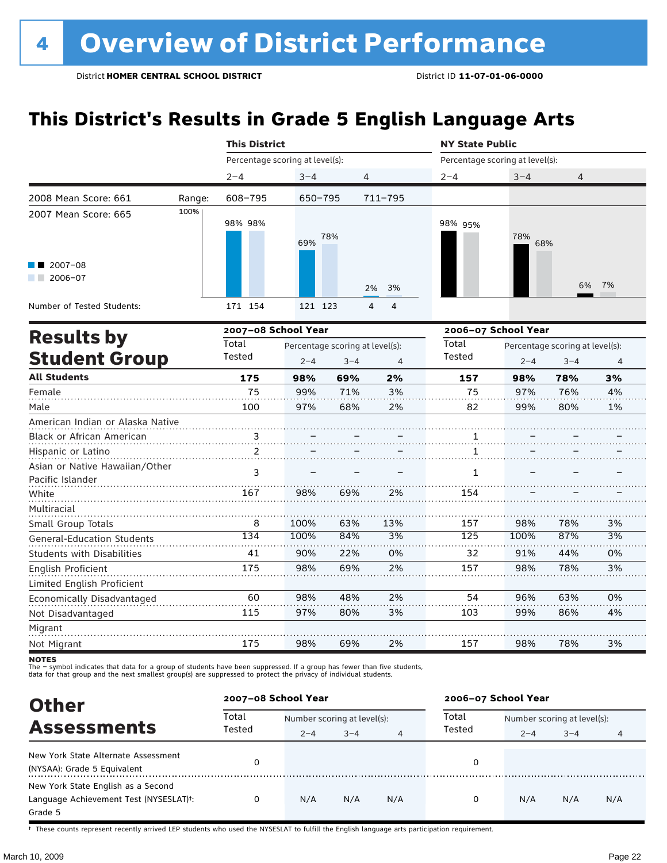### **This District's Results in Grade 5 English Language Arts**

|                                                    |        | <b>This District</b>            |         |                                 |          | <b>NY State Public</b>          |                     |                                 |                |  |
|----------------------------------------------------|--------|---------------------------------|---------|---------------------------------|----------|---------------------------------|---------------------|---------------------------------|----------------|--|
|                                                    |        | Percentage scoring at level(s): |         |                                 |          | Percentage scoring at level(s): |                     |                                 |                |  |
|                                                    |        | $2 - 4$                         | $3 - 4$ |                                 | 4        | $2 - 4$                         | $3 - 4$             | 4                               |                |  |
| 2008 Mean Score: 661                               | Range: | 608-795                         | 650-795 |                                 | 711-795  |                                 |                     |                                 |                |  |
| 2007 Mean Score: 665                               | 100%   | 98% 98%                         | 69%     | 78%                             |          | 98% 95%                         | 78%<br>68%          |                                 |                |  |
| 2007-08<br>$2006 - 07$<br>a sa Bala                |        |                                 |         |                                 | 2%<br>3% |                                 |                     | 6%                              | 7%             |  |
| Number of Tested Students:                         |        | 171 154                         | 121 123 |                                 | 4<br>4   |                                 |                     |                                 |                |  |
| <b>Results by</b>                                  |        | 2007-08 School Year             |         |                                 |          |                                 | 2006-07 School Year |                                 |                |  |
|                                                    |        | Total                           |         | Percentage scoring at level(s): |          | Total                           |                     | Percentage scoring at level(s): |                |  |
| <b>Student Group</b>                               |        | Tested                          | $2 - 4$ | $3 - 4$                         | 4        | Tested                          | $2 - 4$             | $3 - 4$                         | $\overline{4}$ |  |
| <b>All Students</b>                                |        | 175                             | 98%     | 69%                             | 2%       | 157                             | 98%                 | 78%                             | 3%             |  |
| Female                                             |        | 75                              | 99%     | 71%                             | 3%       | 75                              | 97%                 | 76%                             | 4%             |  |
| Male                                               |        | 100                             | 97%     | 68%                             | 2%       | 82                              | 99%                 | 80%                             | 1%             |  |
| American Indian or Alaska Native                   |        |                                 |         |                                 |          |                                 |                     |                                 |                |  |
| Black or African American                          |        | $\frac{3}{2}$                   |         |                                 |          | 1                               |                     |                                 |                |  |
| Hispanic or Latino                                 |        | 2                               |         |                                 |          | 1                               |                     |                                 |                |  |
| Asian or Native Hawaiian/Other<br>Pacific Islander |        | 3                               |         |                                 |          | $\mathbf{1}$                    |                     |                                 |                |  |
| White                                              |        | 167                             | 98%     | 69%                             | 2%       | 154                             |                     |                                 |                |  |
| Multiracial                                        |        |                                 |         |                                 |          |                                 |                     |                                 |                |  |
| Small Group Totals                                 |        | 8                               | 100%    | 63%                             | 13%      | 157                             | 98%                 | 78%                             | 3%             |  |
| <b>General-Education Students</b>                  |        | 134                             | 100%    | 84%                             | 3%       | 125                             | 100%                | 87%                             | 3%             |  |
| <b>Students with Disabilities</b>                  |        | 41                              | 90%     | 22%                             | 0%       | 32                              | 91%                 | 44%                             | 0%             |  |
| English Proficient                                 |        | 175                             | 98%     | 69%                             | 2%       | 157                             | 98%                 | 78%                             | 3%             |  |
| Limited English Proficient                         |        |                                 |         |                                 |          |                                 |                     |                                 |                |  |
| Economically Disadvantaged                         |        | 60                              | 98%     | 48%                             | 2%       | 54                              | 96%                 | 63%                             | 0%             |  |
| Not Disadvantaged                                  |        | 115                             | 97%     | 80%                             | 3%       | 103                             | 99%                 | 86%                             | 4%             |  |
| Migrant                                            |        |                                 |         |                                 |          |                                 |                     |                                 |                |  |
| Not Migrant                                        |        | 175                             | 98%     | 69%                             | 2%       | 157                             | 98%                 | 78%                             | 3%             |  |

notes

The – symbol indicates that data for a group of students have been suppressed. If a group has fewer than five students,<br>data for that group and the next smallest group(s) are suppressed to protect the privacy of individual

| <b>Other</b>                           | 2007-08 School Year |                             |         |     | 2006-07 School Year |                             |         |     |  |
|----------------------------------------|---------------------|-----------------------------|---------|-----|---------------------|-----------------------------|---------|-----|--|
| <b>Assessments</b>                     | Total<br>Tested     | Number scoring at level(s): |         |     | Total               | Number scoring at level(s): |         |     |  |
|                                        |                     | $2 - 4$                     | $3 - 4$ | 4   | Tested              | $2 - 4$                     | $3 - 4$ | 4   |  |
| New York State Alternate Assessment    | 0                   |                             |         |     | 0                   |                             |         |     |  |
| (NYSAA): Grade 5 Equivalent            |                     |                             |         |     |                     |                             |         |     |  |
| New York State English as a Second     |                     |                             |         |     |                     |                             |         |     |  |
| Language Achievement Test (NYSESLAT)t: | 0                   | N/A                         | N/A     | N/A | 0                   | N/A                         | N/A     | N/A |  |
| Grade 5                                |                     |                             |         |     |                     |                             |         |     |  |

† These counts represent recently arrived LEP students who used the NYSESLAT to fulfill the English language arts participation requirement.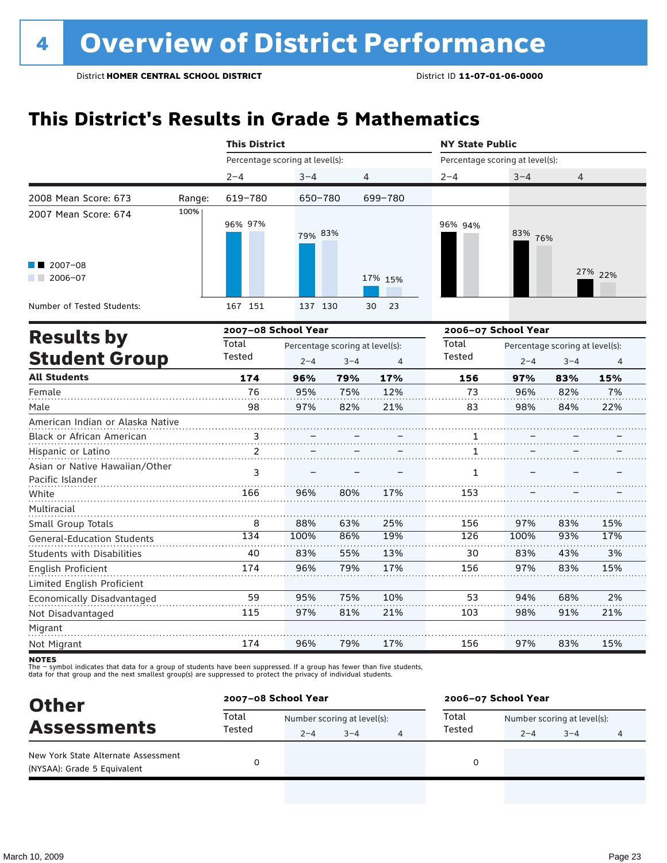### **This District's Results in Grade 5 Mathematics**

|                                                    |        | <b>This District</b>            |         |                                 |                | <b>NY State Public</b>          |         |                                 |         |  |
|----------------------------------------------------|--------|---------------------------------|---------|---------------------------------|----------------|---------------------------------|---------|---------------------------------|---------|--|
|                                                    |        | Percentage scoring at level(s): |         |                                 |                | Percentage scoring at level(s): |         |                                 |         |  |
|                                                    |        | $2 - 4$                         | $3 - 4$ | 4                               |                | $2 - 4$                         | $3 - 4$ | $\overline{4}$                  |         |  |
| 2008 Mean Score: 673                               | Range: | 619-780                         | 650-780 |                                 | 699-780        |                                 |         |                                 |         |  |
| 2007 Mean Score: 674                               | 100%   | 96% 97%                         | 79% 83% |                                 |                | 96% 94%                         | 83% 76% |                                 |         |  |
| $2007 - 08$<br>$2006 - 07$<br><b>Contract</b>      |        |                                 |         |                                 | 17% 15%        |                                 |         |                                 | 27% 22% |  |
| Number of Tested Students:                         |        | 167 151                         | 137 130 |                                 | 23<br>30       |                                 |         |                                 |         |  |
| <b>Results by</b>                                  |        | 2007-08 School Year             |         |                                 |                | 2006-07 School Year<br>Total    |         |                                 |         |  |
|                                                    |        | Total                           |         | Percentage scoring at level(s): |                |                                 |         | Percentage scoring at level(s): |         |  |
| <b>Student Group</b>                               |        | Tested                          | $2 - 4$ | $3 - 4$                         | $\overline{4}$ | Tested                          | $2 - 4$ | $3 - 4$                         | 4       |  |
| <b>All Students</b>                                |        | 174                             | 96%     | 79%                             | 17%            | 156                             | 97%     | 83%                             | 15%     |  |
| Female                                             |        | 76                              | 95%     | 75%                             | 12%            | 73                              | 96%     | 82%                             | 7%      |  |
| Male                                               |        | 98                              | 97%     | 82%                             | 21%            | 83                              | 98%     | 84%                             | 22%     |  |
| American Indian or Alaska Native                   |        |                                 |         |                                 |                |                                 |         |                                 |         |  |
| Black or African American                          |        | $\frac{3}{2}$                   |         |                                 |                | 1                               |         |                                 |         |  |
| Hispanic or Latino                                 |        | 2                               |         |                                 |                | 1                               |         |                                 |         |  |
| Asian or Native Hawaiian/Other<br>Pacific Islander |        | 3                               |         |                                 |                | $\mathbf{1}$                    |         |                                 |         |  |
| White                                              |        | 166                             | 96%     | 80%                             | 17%            | 153                             |         |                                 |         |  |
| Multiracial                                        |        |                                 |         |                                 |                |                                 |         |                                 |         |  |
| Small Group Totals                                 |        | 8                               | 88%     | 63%                             | 25%            | 156                             | 97%     | 83%                             | 15%     |  |
| <b>General-Education Students</b>                  |        | 134                             | 100%    | 86%                             | 19%            | 126                             | 100%    | 93%                             | 17%     |  |
| <b>Students with Disabilities</b>                  |        | 40                              | 83%     | 55%                             | 13%            | 30                              | 83%     | 43%                             | 3%      |  |
| <b>English Proficient</b>                          |        | 174                             | 96%     | 79%                             | 17%            | 156                             | 97%     | 83%                             | 15%     |  |
| Limited English Proficient                         |        |                                 |         |                                 |                |                                 |         |                                 |         |  |
| Economically Disadvantaged                         |        | 59                              | 95%     | 75%                             | 10%            | 53                              | 94%     | 68%                             | 2%      |  |
| Not Disadvantaged                                  |        | 115                             | 97%     | 81%                             | 21%            | 103                             | 98%     | 91%                             | 21%     |  |
| Migrant                                            |        |                                 |         |                                 |                |                                 |         |                                 |         |  |
| Not Migrant                                        |        | 174                             | 96%     | 79%                             | 17%            | 156                             | 97%     | 83%                             | 15%     |  |

**NOTES** 

| <b>Other</b>                                                       | 2007-08 School Year |                             |         |   | 2006-07 School Year |                             |         |   |  |
|--------------------------------------------------------------------|---------------------|-----------------------------|---------|---|---------------------|-----------------------------|---------|---|--|
| <b>Assessments</b>                                                 | Total<br>Tested     | Number scoring at level(s): |         |   | Total               | Number scoring at level(s): |         |   |  |
|                                                                    |                     | $2 - 4$                     | $3 - 4$ | 4 | Tested              | $2 - 4$                     | $3 - 4$ | 4 |  |
| New York State Alternate Assessment<br>(NYSAA): Grade 5 Equivalent |                     |                             |         |   | 0                   |                             |         |   |  |
|                                                                    |                     |                             |         |   |                     |                             |         |   |  |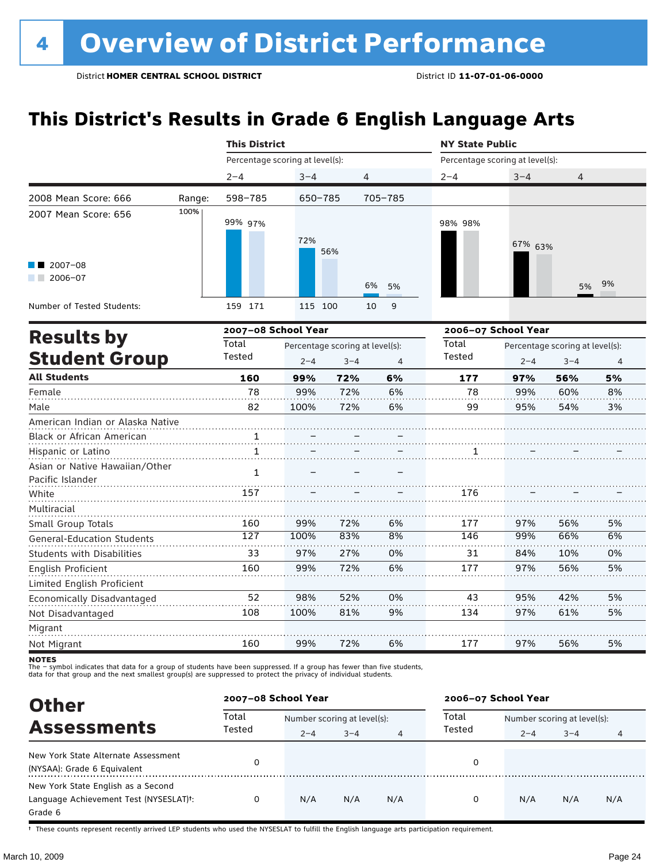### **This District's Results in Grade 6 English Language Arts**

|                                                                  |        | <b>This District</b>            |         |                                            |                | <b>NY State Public</b>          |                     |                                            |                |
|------------------------------------------------------------------|--------|---------------------------------|---------|--------------------------------------------|----------------|---------------------------------|---------------------|--------------------------------------------|----------------|
|                                                                  |        | Percentage scoring at level(s): |         |                                            |                | Percentage scoring at level(s): |                     |                                            |                |
|                                                                  |        | $2 - 4$                         | $3 - 4$ | 4                                          |                | $2 - 4$                         | $3 - 4$             | 4                                          |                |
| 2008 Mean Score: 666                                             | Range: | 598-785                         | 650-785 |                                            | 705-785        |                                 |                     |                                            |                |
| 2007 Mean Score: 656                                             | 100%   | 99% 97%                         | 72%     | 56%                                        |                | 98% 98%                         | 67% 63%             |                                            |                |
| $2007 - 08$<br>$2006 - 07$                                       |        |                                 |         |                                            | 6%<br>5%       |                                 |                     | 5%                                         | 9%             |
| Number of Tested Students:                                       |        | 159 171                         | 115 100 |                                            | 10<br>9        |                                 |                     |                                            |                |
|                                                                  |        | 2007-08 School Year             |         |                                            |                |                                 | 2006-07 School Year |                                            |                |
| <b>Results by</b><br><b>Student Group</b><br><b>All Students</b> |        | Total<br>Tested                 | $2 - 4$ | Percentage scoring at level(s):<br>$3 - 4$ | $\overline{4}$ | Total<br><b>Tested</b>          | $2 - 4$             | Percentage scoring at level(s):<br>$3 - 4$ | $\overline{4}$ |
|                                                                  |        | 160                             | 99%     | 72%                                        | 6%             | 177                             | 97%                 | 56%                                        | 5%             |
| Female                                                           |        | 78                              | 99%     | 72%                                        | 6%             | 78                              | 99%                 | 60%                                        | 8%             |
| Male                                                             |        | 82                              | 100%    | 72%                                        | 6%             | 99                              | 95%                 | 54%                                        | 3%             |
| American Indian or Alaska Native                                 |        |                                 |         |                                            |                |                                 |                     |                                            |                |
| Black or African American                                        |        | 1                               |         |                                            |                |                                 |                     |                                            |                |
| Hispanic or Latino                                               |        | $\mathbf{1}$                    |         |                                            |                | 1                               |                     |                                            |                |
| Asian or Native Hawaiian/Other<br>Pacific Islander               |        | $\mathbf{1}$                    |         |                                            |                |                                 |                     |                                            |                |
| White                                                            |        | 157                             |         |                                            |                | 176                             |                     |                                            |                |
| Multiracial<br>Small Group Totals                                |        | 160                             | 99%     | 72%                                        | 6%             | 177                             | 97%                 | 56%                                        | 5%             |
| <b>General-Education Students</b>                                |        | $\overline{127}$                | 100%    | 83%                                        | 8%             | 146                             | 99%                 | 66%                                        | 6%             |
| <b>Students with Disabilities</b>                                |        | 33                              | 97%     | 27%                                        | 0%             | 31                              | 84%                 | 10%                                        | 0%             |
| English Proficient                                               |        | 160                             | 99%     | 72%                                        | 6%             | 177                             | 97%                 | 56%                                        | 5%             |
| Limited English Proficient                                       |        |                                 |         |                                            |                |                                 |                     |                                            |                |
| Economically Disadvantaged                                       |        | 52                              | 98%     | 52%                                        | 0%             | 43                              | 95%                 | 42%                                        | 5%             |
| Not Disadvantaged                                                |        | 108                             | 100%    | 81%                                        | 9%             | 134                             | 97%                 | 61%                                        | 5%             |
| Migrant                                                          |        |                                 |         |                                            |                |                                 |                     |                                            |                |
| Not Migrant                                                      |        | 160                             | 99%     | 72%                                        | 6%             | 177                             | 97%                 | 56%                                        | 5%             |

**NOTES** 

The – symbol indicates that data for a group of students have been suppressed. If a group has fewer than five students,<br>data for that group and the next smallest group(s) are suppressed to protect the privacy of individual

| <b>Other</b>                                                                            |                 | 2007-08 School Year         |         |     | 2006-07 School Year |                             |         |     |  |
|-----------------------------------------------------------------------------------------|-----------------|-----------------------------|---------|-----|---------------------|-----------------------------|---------|-----|--|
| <b>Assessments</b>                                                                      | Total<br>Tested | Number scoring at level(s): |         |     | Total               | Number scoring at level(s): |         |     |  |
|                                                                                         |                 | $2 - 4$                     | $3 - 4$ | 4   | Tested              | $2 - 4$                     | $3 - 4$ |     |  |
| New York State Alternate Assessment<br>(NYSAA): Grade 6 Equivalent                      |                 |                             |         |     | 0                   |                             |         |     |  |
| New York State English as a Second<br>Language Achievement Test (NYSESLAT)t:<br>Grade 6 | 0               | N/A                         | N/A     | N/A | 0                   | N/A                         | N/A     | N/A |  |

† These counts represent recently arrived LEP students who used the NYSESLAT to fulfill the English language arts participation requirement.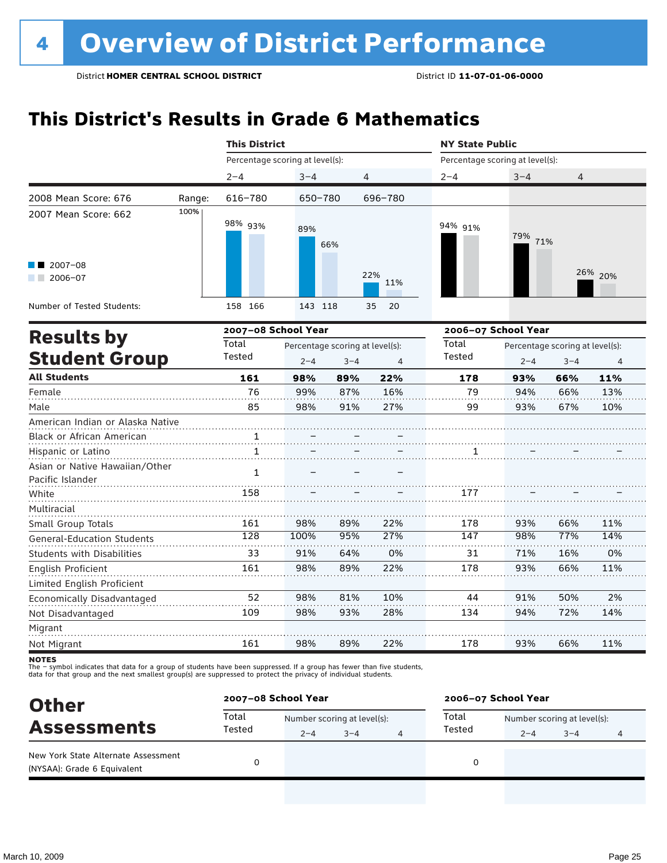### **This District's Results in Grade 6 Mathematics**

|                                                               |        |                                 | <b>This District</b><br><b>NY State Public</b> |                                                 |            |                                 |                                                               |     |         |
|---------------------------------------------------------------|--------|---------------------------------|------------------------------------------------|-------------------------------------------------|------------|---------------------------------|---------------------------------------------------------------|-----|---------|
|                                                               |        | Percentage scoring at level(s): |                                                |                                                 |            | Percentage scoring at level(s): |                                                               |     |         |
|                                                               |        | $2 - 4$                         | $3 - 4$                                        |                                                 | 4          | $2 - 4$                         | $3 - 4$                                                       | 4   |         |
| 2008 Mean Score: 676                                          | Range: | 616-780                         | 650-780                                        |                                                 | 696-780    |                                 |                                                               |     |         |
| 2007 Mean Score: 662                                          | 100%   | 98% 93%                         | 89%                                            | 66%                                             |            | 94% 91%                         | 79%<br>71%                                                    |     |         |
| 2007-08<br>$2006 - 07$                                        |        |                                 |                                                |                                                 | 22%<br>11% |                                 |                                                               |     | 26% 20% |
| Number of Tested Students:                                    |        | 158 166                         | 143 118                                        |                                                 | 35<br>20   |                                 |                                                               |     |         |
|                                                               |        | 2007-08 School Year             |                                                |                                                 |            | 2006-07 School Year             |                                                               |     |         |
| <b>Results by</b><br><b>Student Group</b>                     |        | Total<br>Tested                 | $2 - 4$                                        | Percentage scoring at level(s):<br>$3 - 4$<br>4 |            |                                 | Total<br>Percentage scoring at level(s):<br>Tested<br>$2 - 4$ |     |         |
| <b>All Students</b>                                           |        | 161                             | 98%                                            | 89%                                             | 22%        | 178                             | 93%                                                           | 66% | 11%     |
| Female                                                        |        | 76                              | 99%                                            | 87%                                             | 16%        | 79                              | 94%                                                           | 66% | 13%     |
| Male                                                          |        | 85                              | 98%                                            | 91%                                             | 27%        | 99                              | 93%                                                           | 67% | 10%     |
| American Indian or Alaska Native<br>Black or African American |        | 1                               |                                                |                                                 |            |                                 |                                                               |     |         |
| Hispanic or Latino                                            |        | $\mathbf{1}$                    |                                                |                                                 |            | 1                               |                                                               |     |         |
| Asian or Native Hawaiian/Other<br>Pacific Islander            |        | $\mathbf{1}$                    |                                                |                                                 |            |                                 |                                                               |     |         |
| White                                                         |        | 158                             |                                                |                                                 |            | 177                             |                                                               |     |         |
| Multiracial<br>Small Group Totals                             |        | 161                             | 98%                                            | 89%                                             | 22%        | 178                             | 93%                                                           | 66% | 11%     |
| General-Education Students                                    |        | 128                             | 100%                                           | 95%                                             | 27%        | 147                             | 98%                                                           | 77% | 14%     |
| <b>Students with Disabilities</b>                             |        | 33                              | 91%                                            | 64%                                             | 0%         | 31                              | 71%                                                           | 16% | 0%      |
| English Proficient                                            |        | 161                             | 98%                                            | 89%                                             | 22%        | 178                             | 93%                                                           | 66% | 11%     |
| Limited English Proficient                                    |        |                                 |                                                |                                                 |            |                                 |                                                               |     |         |
| Economically Disadvantaged                                    |        | 52                              | 98%                                            | 81%                                             | 10%        | 44                              | 91%                                                           | 50% | 2%      |
| Not Disadvantaged                                             |        | 109                             | 98%                                            | 93%                                             | 28%        | 134                             | 94%                                                           | 72% | 14%     |
| Migrant                                                       |        |                                 |                                                |                                                 |            |                                 |                                                               |     |         |
| Not Migrant                                                   |        | 161                             | 98%                                            | 89%                                             | 22%        | 178                             | 93%                                                           | 66% | 11%     |

**NOTES** 

| <b>Other</b>                                                       |                 | 2007-08 School Year |                             |   | 2006-07 School Year |         |                             |   |  |
|--------------------------------------------------------------------|-----------------|---------------------|-----------------------------|---|---------------------|---------|-----------------------------|---|--|
| <b>Assessments</b>                                                 | Total<br>Tested |                     | Number scoring at level(s): |   |                     |         | Number scoring at level(s): |   |  |
|                                                                    |                 | $2 - 4$             | $3 - 4$                     | 4 | Tested              | $2 - 4$ | $3 - 4$                     | 4 |  |
| New York State Alternate Assessment<br>(NYSAA): Grade 6 Equivalent |                 |                     |                             |   |                     |         |                             |   |  |
|                                                                    |                 |                     |                             |   |                     |         |                             |   |  |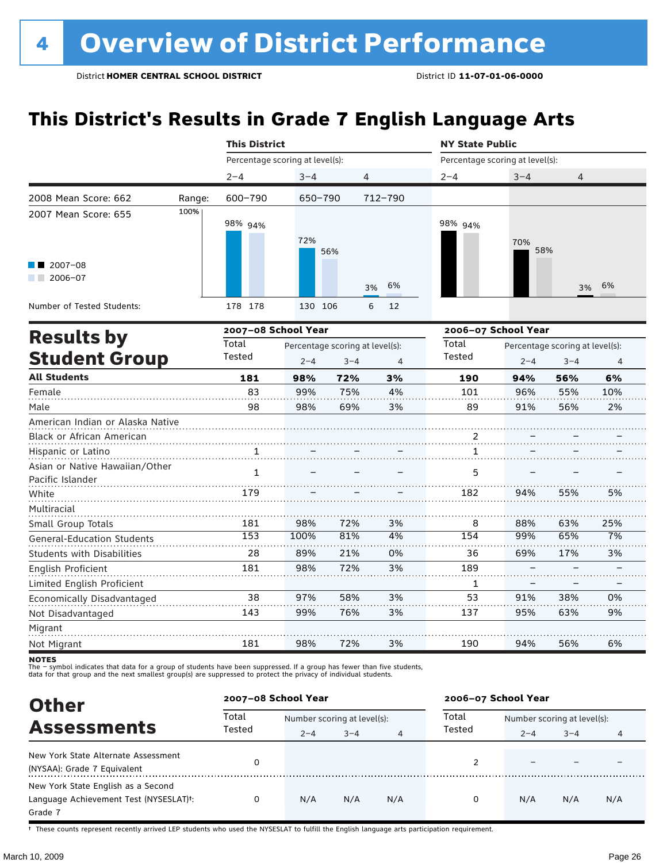### **This District's Results in Grade 7 English Language Arts**

|                                                    |        | <b>This District</b>            |                                                       |     |          | <b>NY State Public</b>          |                     |                                            |                |  |
|----------------------------------------------------|--------|---------------------------------|-------------------------------------------------------|-----|----------|---------------------------------|---------------------|--------------------------------------------|----------------|--|
|                                                    |        | Percentage scoring at level(s): |                                                       |     |          | Percentage scoring at level(s): |                     |                                            |                |  |
|                                                    |        | $2 - 4$                         | $3 - 4$                                               |     | 4        | $2 - 4$                         | $3 - 4$             | 4                                          |                |  |
| 2008 Mean Score: 662                               | Range: | 600-790                         | 650-790                                               |     | 712-790  |                                 |                     |                                            |                |  |
| 2007 Mean Score: 655                               | 100%   | 98% 94%                         | 72%                                                   | 56% |          | 98% 94%                         | 70%<br>58%          |                                            |                |  |
| 2007-08<br>$2006 - 07$<br>a sa Bala                |        |                                 |                                                       |     | 6%<br>3% |                                 |                     | 3%                                         | 6%             |  |
| Number of Tested Students:                         |        | 178 178                         | 130 106                                               |     | 6<br>12  |                                 |                     |                                            |                |  |
| <b>Results by</b>                                  |        | 2007-08 School Year             |                                                       |     |          |                                 | 2006-07 School Year |                                            |                |  |
| <b>Student Group</b>                               |        | Total<br>Tested                 | Percentage scoring at level(s):<br>$2 - 4$<br>$3 - 4$ |     |          | Total<br><b>Tested</b>          | $2 - 4$             | Percentage scoring at level(s):<br>$3 - 4$ | $\overline{4}$ |  |
| <b>All Students</b>                                |        | 181                             | 98%                                                   | 72% | 3%       | 190                             | 94%                 | 56%                                        | 6%             |  |
| Female                                             |        | 83                              | 99%                                                   | 75% | 4%       | 101                             | 96%                 | 55%                                        | 10%            |  |
| Male                                               |        | 98                              | 98%                                                   | 69% | 3%       | 89                              | 91%                 | 56%                                        | 2%             |  |
| American Indian or Alaska Native                   |        |                                 |                                                       |     |          |                                 |                     |                                            |                |  |
| Black or African American                          |        |                                 |                                                       |     |          | 2                               |                     |                                            |                |  |
| Hispanic or Latino                                 |        | 1                               |                                                       |     |          | 1                               |                     |                                            |                |  |
| Asian or Native Hawaiian/Other<br>Pacific Islander |        | $\mathbf{1}$                    |                                                       |     |          | 5                               |                     |                                            |                |  |
| White                                              |        | 179                             |                                                       |     |          | 182                             | 94%                 | 55%                                        | 5%             |  |
| Multiracial                                        |        |                                 |                                                       |     |          |                                 |                     |                                            |                |  |
| Small Group Totals                                 |        | 181                             | 98%                                                   | 72% | 3%       | 8                               | 88%                 | 63%                                        | 25%            |  |
| General-Education Students                         |        | 153                             | 100%                                                  | 81% | 4%       | 154                             | 99%                 | 65%                                        | 7%             |  |
| <b>Students with Disabilities</b>                  |        | 28                              | 89%                                                   | 21% | 0%       | 36                              | 69%                 | 17%                                        | 3%             |  |
| <b>English Proficient</b>                          |        | 181                             | 98%                                                   | 72% | 3%       | 189                             |                     |                                            |                |  |
| Limited English Proficient                         |        |                                 |                                                       |     |          | 1                               |                     |                                            |                |  |
| Economically Disadvantaged                         |        | 38                              | 97%                                                   | 58% | 3%       | 53                              | 91%                 | 38%                                        | 0%             |  |
| Not Disadvantaged                                  |        | 143                             | 99%                                                   | 76% | 3%       | 137                             | 95%                 | 63%                                        | 9%             |  |
| Migrant                                            |        |                                 |                                                       |     |          |                                 |                     |                                            |                |  |
| Not Migrant                                        |        | 181                             | 98%                                                   | 72% | 3%       | 190                             | 94%                 | 56%                                        | 6%             |  |

notes

The – symbol indicates that data for a group of students have been suppressed. If a group has fewer than five students,<br>data for that group and the next smallest group(s) are suppressed to protect the privacy of individual

| <b>Other</b>                                                                            |                 | 2007-08 School Year         |         |     | 2006-07 School Year |                             |         |     |  |
|-----------------------------------------------------------------------------------------|-----------------|-----------------------------|---------|-----|---------------------|-----------------------------|---------|-----|--|
| <b>Assessments</b>                                                                      | Total<br>Tested | Number scoring at level(s): |         |     | Total               | Number scoring at level(s): |         |     |  |
|                                                                                         |                 | $2 - 4$                     | $3 - 4$ | 4   | Tested              | $2 - 4$                     | $3 - 4$ |     |  |
| New York State Alternate Assessment<br>(NYSAA): Grade 7 Equivalent                      |                 |                             |         |     |                     |                             |         |     |  |
| New York State English as a Second<br>Language Achievement Test (NYSESLAT)t:<br>Grade 7 | 0               | N/A                         | N/A     | N/A | 0                   | N/A                         | N/A     | N/A |  |

† These counts represent recently arrived LEP students who used the NYSESLAT to fulfill the English language arts participation requirement.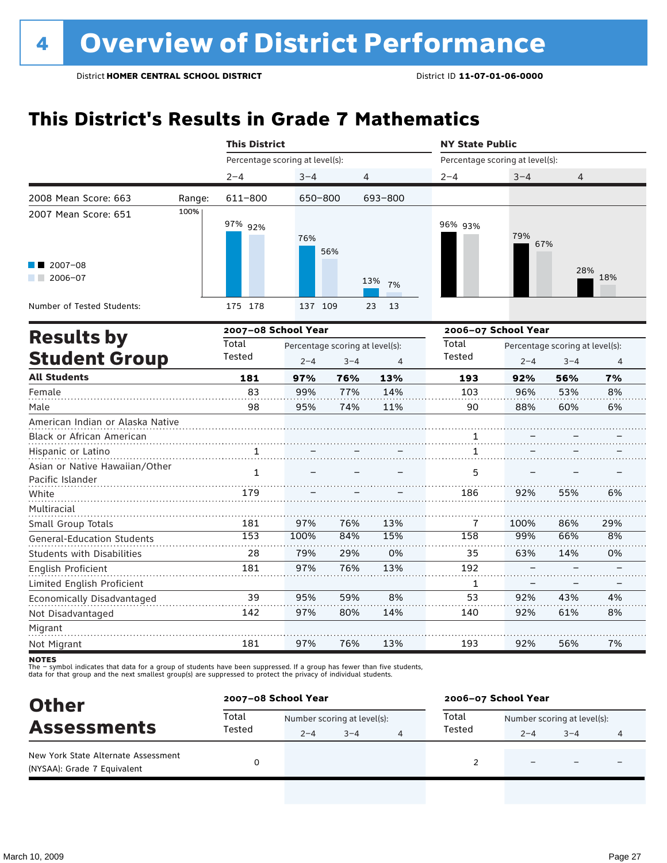### **This District's Results in Grade 7 Mathematics**

|                                                    |                                                                                                                                                                                                 | <b>This District</b>                                                                       |         |     |           | <b>NY State Public</b> |            |                                            |                |  |
|----------------------------------------------------|-------------------------------------------------------------------------------------------------------------------------------------------------------------------------------------------------|--------------------------------------------------------------------------------------------|---------|-----|-----------|------------------------|------------|--------------------------------------------|----------------|--|
|                                                    | Percentage scoring at level(s):<br>Percentage scoring at level(s):<br>$3 - 4$<br>4<br>$2 - 4$<br>$2 - 4$<br>611-800<br>650-800<br>693-800<br>Range:<br>100%<br>97% 92%<br>96% 93%<br>76%<br>56% |                                                                                            |         |     |           |                        |            |                                            |                |  |
|                                                    |                                                                                                                                                                                                 |                                                                                            |         |     |           |                        | $3 - 4$    | 4                                          |                |  |
| 2008 Mean Score: 663                               |                                                                                                                                                                                                 |                                                                                            |         |     |           |                        |            |                                            |                |  |
| 2007 Mean Score: 651                               |                                                                                                                                                                                                 |                                                                                            |         |     |           |                        | 79%<br>67% |                                            |                |  |
| $2007 - 08$<br>$2006 - 07$                         |                                                                                                                                                                                                 |                                                                                            |         |     | 13%<br>7% |                        |            | 28%                                        | 18%            |  |
| Number of Tested Students:                         |                                                                                                                                                                                                 | 175 178                                                                                    | 137 109 |     | 23<br>13  |                        |            |                                            |                |  |
|                                                    |                                                                                                                                                                                                 | 2007-08 School Year                                                                        |         |     |           | 2006-07 School Year    |            |                                            |                |  |
| <b>Results by</b><br><b>Student Group</b>          |                                                                                                                                                                                                 | Total<br>Percentage scoring at level(s):<br>Tested<br>$2 - 4$<br>$3 - 4$<br>$\overline{4}$ |         |     |           | Total<br>Tested        | $2 - 4$    | Percentage scoring at level(s):<br>$3 - 4$ | $\overline{4}$ |  |
| <b>All Students</b>                                |                                                                                                                                                                                                 | 181                                                                                        | 97%     | 76% | 13%       | 193                    | 92%        | 56%                                        | 7%             |  |
| Female                                             |                                                                                                                                                                                                 | 83                                                                                         | 99%     | 77% | 14%       | 103                    | 96%        | 53%                                        | 8%             |  |
| Male                                               |                                                                                                                                                                                                 | 98                                                                                         | 95%     | 74% | 11%       | 90                     | 88%        | 60%                                        | 6%             |  |
| American Indian or Alaska Native                   |                                                                                                                                                                                                 |                                                                                            |         |     |           |                        |            |                                            |                |  |
| Black or African American                          |                                                                                                                                                                                                 |                                                                                            |         |     |           | 1                      |            |                                            |                |  |
| Hispanic or Latino                                 |                                                                                                                                                                                                 | 1                                                                                          |         |     |           | 1                      |            |                                            |                |  |
| Asian or Native Hawaiian/Other<br>Pacific Islander |                                                                                                                                                                                                 | $\mathbf{1}$                                                                               |         |     |           | 5                      |            |                                            |                |  |
| White                                              |                                                                                                                                                                                                 | 179                                                                                        |         |     |           | 186                    | 92%        | 55%                                        | 6%             |  |
| Multiracial                                        |                                                                                                                                                                                                 |                                                                                            |         |     |           |                        |            |                                            |                |  |
| Small Group Totals                                 |                                                                                                                                                                                                 | 181                                                                                        | 97%     | 76% | 13%       | 7                      | 100%       | 86%                                        | 29%            |  |
| <b>General-Education Students</b>                  |                                                                                                                                                                                                 | 153                                                                                        | 100%    | 84% | 15%       | 158                    | 99%        | 66%                                        | 8%             |  |
| <b>Students with Disabilities</b>                  |                                                                                                                                                                                                 | 28                                                                                         | 79%     | 29% | 0%        | 35                     | 63%        | 14%                                        | 0%             |  |
| English Proficient                                 |                                                                                                                                                                                                 | 181                                                                                        | 97%     | 76% | 13%       | 192                    |            |                                            |                |  |
| Limited English Proficient                         |                                                                                                                                                                                                 |                                                                                            |         |     |           | 1                      |            |                                            |                |  |
| Economically Disadvantaged                         |                                                                                                                                                                                                 | 39                                                                                         | 95%     | 59% | 8%        | 53                     | 92%        | 43%                                        | 4%             |  |
| Not Disadvantaged                                  |                                                                                                                                                                                                 | 142                                                                                        | 97%     | 80% | 14%       | 140                    | 92%        | 61%                                        | 8%             |  |
| Migrant                                            |                                                                                                                                                                                                 |                                                                                            |         |     |           |                        |            |                                            |                |  |
| Not Migrant                                        |                                                                                                                                                                                                 | 181                                                                                        | 97%     | 76% | 13%       | 193                    | 92%        | 56%                                        | 7%             |  |

**NOTES** 

| <b>Other</b>                                                       |                 | 2007-08 School Year         |         |  | 2006-07 School Year |         |                             |  |  |
|--------------------------------------------------------------------|-----------------|-----------------------------|---------|--|---------------------|---------|-----------------------------|--|--|
| <b>Assessments</b>                                                 | Total<br>Tested | Number scoring at level(s): |         |  | Total               |         | Number scoring at level(s): |  |  |
|                                                                    |                 | $2 - 4$                     | $3 - 4$ |  | Tested              | $2 - 4$ | $3 - 4$                     |  |  |
| New York State Alternate Assessment<br>(NYSAA): Grade 7 Equivalent |                 |                             |         |  |                     |         | -                           |  |  |
|                                                                    |                 |                             |         |  |                     |         |                             |  |  |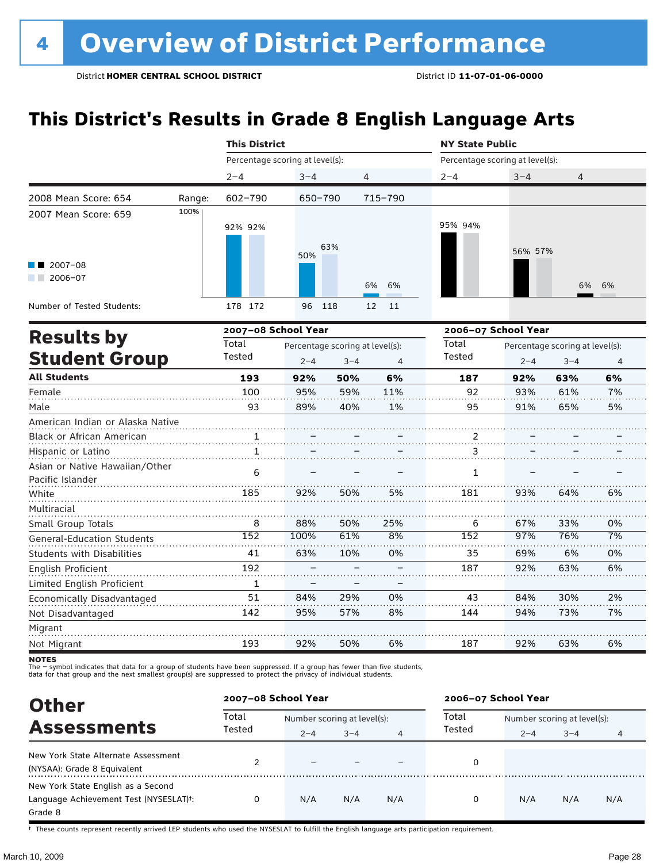### **This District's Results in Grade 8 English Language Arts**

|                                                    |        | <b>This District</b>            |                                 |         |          | <b>NY State Public</b>          |                     |                                 |                |  |
|----------------------------------------------------|--------|---------------------------------|---------------------------------|---------|----------|---------------------------------|---------------------|---------------------------------|----------------|--|
|                                                    |        | Percentage scoring at level(s): |                                 |         |          | Percentage scoring at level(s): |                     |                                 |                |  |
|                                                    |        | $2 - 4$                         | $3 - 4$                         | 4       |          | $2 - 4$                         | $3 - 4$             | 4                               |                |  |
| 2008 Mean Score: 654                               | Range: | 602-790                         | 650-790                         |         | 715-790  |                                 |                     |                                 |                |  |
| 2007 Mean Score: 659                               | 100%   | 92% 92%                         | 50%                             | 63%     |          | 95% 94%                         | 56% 57%             |                                 |                |  |
| $\blacksquare$ 2007-08<br>2006-07                  |        |                                 |                                 |         | 6%<br>6% |                                 |                     | 6%                              | 6%             |  |
| Number of Tested Students:                         |        | 178 172                         | 96                              | 118     | 12<br>11 |                                 |                     |                                 |                |  |
|                                                    |        | 2007-08 School Year             |                                 |         |          |                                 | 2006-07 School Year |                                 |                |  |
| <b>Results by</b>                                  |        | Total                           | Percentage scoring at level(s): |         |          | Total                           |                     | Percentage scoring at level(s): |                |  |
| <b>Student Group</b>                               |        | Tested                          | $2 - 4$                         | $3 - 4$ | 4        | Tested                          | $2 - 4$             | $3 - 4$                         | $\overline{4}$ |  |
| <b>All Students</b>                                |        | 193                             | 92%                             | 50%     | 6%       | 187                             | 92%                 | 63%                             | 6%             |  |
| Female                                             |        | 100                             | 95%                             | 59%     | 11%      | 92                              | 93%                 | 61%                             | 7%             |  |
| Male                                               |        | 93                              | 89%                             | 40%     | 1%       | 95                              | 91%                 | 65%                             | 5%             |  |
| American Indian or Alaska Native                   |        |                                 |                                 |         |          |                                 |                     |                                 |                |  |
| Black or African American                          |        | 1                               |                                 |         |          | $\overline{a}$                  |                     |                                 |                |  |
| Hispanic or Latino                                 |        | $\mathbf{1}$                    |                                 |         |          | 3                               |                     |                                 |                |  |
| Asian or Native Hawaiian/Other<br>Pacific Islander |        | 6                               |                                 |         |          | $\mathbf{1}$                    |                     |                                 |                |  |
| White                                              |        | 185                             | 92%                             | 50%     | 5%       | 181                             | 93%                 | 64%                             | 6%             |  |
| Multiracial                                        |        |                                 |                                 |         |          |                                 |                     |                                 |                |  |
| Small Group Totals                                 |        | 8                               | 88%                             | 50%     | 25%      | 6                               | 67%                 | 33%                             | 0%             |  |
| <b>General-Education Students</b>                  |        | 152                             | 100%                            | 61%     | 8%       | $\overline{152}$                | 97%                 | 76%                             | 7%             |  |
| <b>Students with Disabilities</b>                  |        | 41                              | 63%                             | 10%     | 0%       | 35                              | 69%                 | 6%                              | 0%             |  |
| English Proficient                                 |        | 192                             |                                 |         |          | 187                             | 92%                 | 63%                             | 6%             |  |
| Limited English Proficient                         |        | 1                               |                                 |         |          |                                 |                     |                                 |                |  |
| Economically Disadvantaged                         |        | 51                              | 84%                             | 29%     | 0%       | 43                              | 84%                 | 30%                             | 2%             |  |
| Not Disadvantaged                                  |        | 142                             | 95%                             | 57%     | 8%       | 144                             | 94%                 | 73%                             | 7%             |  |
| Migrant                                            |        |                                 |                                 |         |          |                                 |                     |                                 |                |  |
| Not Migrant                                        |        | 193                             | 92%                             | 50%     | 6%       | 187                             | 92%                 | 63%                             | 6%             |  |

**NOTES** 

The – symbol indicates that data for a group of students have been suppressed. If a group has fewer than five students,<br>data for that group and the next smallest group(s) are suppressed to protect the privacy of individual

| <b>Other</b>                           | 2007-08 School Year |         |                             |     | 2006-07 School Year |                             |         |     |  |
|----------------------------------------|---------------------|---------|-----------------------------|-----|---------------------|-----------------------------|---------|-----|--|
|                                        | Total<br>Tested     |         | Number scoring at level(s): |     |                     | Number scoring at level(s): |         |     |  |
| <b>Assessments</b>                     |                     | $2 - 4$ | $3 - 4$                     | 4   | Tested              | $2 - 4$                     | $3 - 4$ | 4   |  |
| New York State Alternate Assessment    |                     |         |                             |     | 0                   |                             |         |     |  |
| (NYSAA): Grade 8 Equivalent            |                     |         |                             |     |                     |                             |         |     |  |
| New York State English as a Second     |                     |         |                             |     |                     |                             |         |     |  |
| Language Achievement Test (NYSESLAT)t: | 0                   | N/A     | N/A                         | N/A | 0                   | N/A                         | N/A     | N/A |  |
| Grade 8                                |                     |         |                             |     |                     |                             |         |     |  |

† These counts represent recently arrived LEP students who used the NYSESLAT to fulfill the English language arts participation requirement.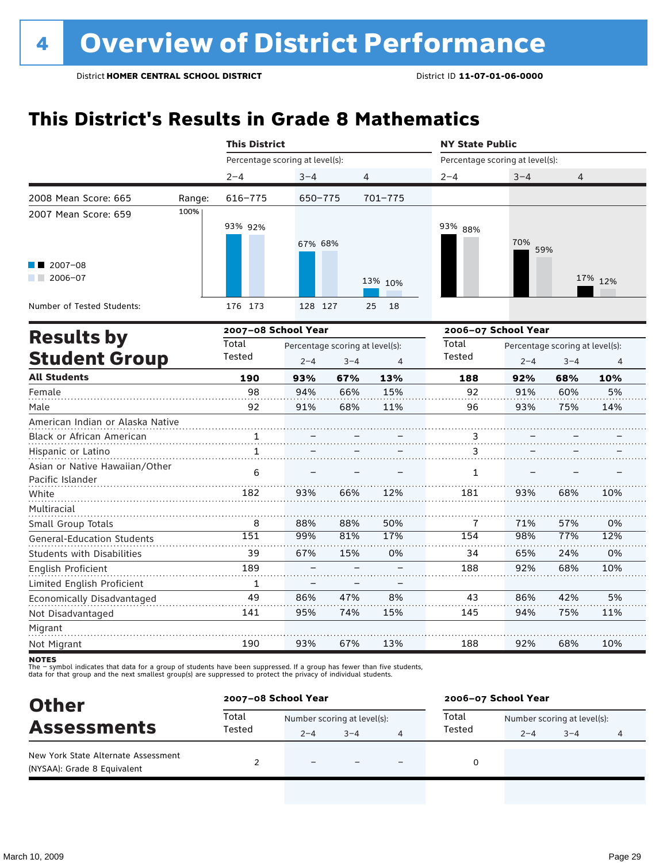### **This District's Results in Grade 8 Mathematics**

|                                   |        | <b>This District</b> |                                 |                                 |                | <b>NY State Public</b>          |                                 |         |         |  |  |
|-----------------------------------|--------|----------------------|---------------------------------|---------------------------------|----------------|---------------------------------|---------------------------------|---------|---------|--|--|
|                                   |        |                      | Percentage scoring at level(s): |                                 |                | Percentage scoring at level(s): |                                 |         |         |  |  |
|                                   |        | $2 - 4$              | $3 - 4$                         | 4                               |                | $2 - 4$                         | $3 - 4$                         | 4       |         |  |  |
| 2008 Mean Score: 665              | Range: | 616-775              | 650-775                         |                                 | 701-775        |                                 |                                 |         |         |  |  |
| 2007 Mean Score: 659              | 100%   |                      |                                 |                                 |                |                                 |                                 |         |         |  |  |
|                                   |        | 93% 92%              |                                 |                                 |                | 93% 88%                         |                                 |         |         |  |  |
|                                   |        |                      | 67% 68%                         |                                 |                |                                 | 70%                             |         |         |  |  |
|                                   |        |                      |                                 |                                 |                |                                 | 59%                             |         |         |  |  |
| $2007 - 08$<br>$2006 - 07$        |        |                      |                                 |                                 |                |                                 |                                 |         |         |  |  |
|                                   |        |                      |                                 |                                 | 13% 10%        |                                 |                                 |         | 17% 12% |  |  |
| Number of Tested Students:        |        | 176 173              | 128 127                         |                                 | 18<br>25       |                                 |                                 |         |         |  |  |
|                                   |        | 2007-08 School Year  |                                 |                                 |                | 2006-07 School Year             |                                 |         |         |  |  |
| <b>Results by</b>                 |        | Total                |                                 | Percentage scoring at level(s): |                |                                 | Percentage scoring at level(s): |         |         |  |  |
| <b>Student Group</b>              |        | Tested               | $2 - 4$                         | $3 - 4$                         | $\overline{4}$ | Tested                          | $2 - 4$                         | $3 - 4$ | 4       |  |  |
| <b>All Students</b>               |        | 190                  | 93%                             | 67%                             | 13%            | 188                             | 92%                             | 68%     | 10%     |  |  |
| Female                            |        | 98                   | 94%                             | 66%                             | 15%            | 92                              | 91%                             | 60%     | 5%      |  |  |
| Male                              |        | 92                   | 91%                             | 68%                             | 11%            | 96                              | 93%                             | 75%     | 14%     |  |  |
| American Indian or Alaska Native  |        |                      |                                 |                                 |                |                                 |                                 |         |         |  |  |
| Black or African American         |        |                      |                                 |                                 |                | 3                               |                                 |         |         |  |  |
| Hispanic or Latino                |        | $\mathbf{1}$         |                                 |                                 |                | 3                               |                                 |         |         |  |  |
| Asian or Native Hawaiian/Other    |        | 6                    |                                 |                                 |                | 1                               |                                 |         |         |  |  |
| Pacific Islander                  |        |                      |                                 |                                 |                |                                 |                                 |         |         |  |  |
| White                             |        | 182                  | 93%                             | 66%                             | 12%            | 181                             | 93%                             | 68%     | 10%     |  |  |
| Multiracial                       |        |                      |                                 |                                 |                |                                 |                                 |         |         |  |  |
| Small Group Totals                |        | 8                    | 88%                             | 88%                             | 50%            | 7                               | 71%                             | 57%     | 0%      |  |  |
| <b>General-Education Students</b> |        | 151                  | 99%                             | 81%                             | 17%            | 154                             | 98%                             | 77%     | 12%     |  |  |
| <b>Students with Disabilities</b> |        | 39                   | 67%                             | 15%                             | 0%             | 34                              | 65%                             | 24%     | 0%      |  |  |
| <b>English Proficient</b>         |        | 189                  |                                 |                                 |                | 188                             | 92%                             | 68%     | 10%     |  |  |
| Limited English Proficient        |        | 1                    |                                 |                                 |                |                                 |                                 |         |         |  |  |
| Economically Disadvantaged        |        | 49                   | 86%                             | 47%                             | 8%             | 43                              | 86%                             | 42%     | 5%      |  |  |
| Not Disadvantaged                 |        | 141                  | 95%                             | 74%                             | 15%            | 145                             | 94%                             | 75%     | 11%     |  |  |
| Migrant                           |        |                      |                                 |                                 |                |                                 |                                 |         |         |  |  |

**NOTES** 

Not Migrant

The – symbol indicates that data for a group of students have been suppressed. If a group has fewer than five students,<br>data for that group and the next smallest group(s) are suppressed to protect the privacy of individual

190

| <b>Other</b><br><b>Assessments</b>                                 | 2007-08 School Year |                             |         |  | 2006-07 School Year |                             |         |   |  |
|--------------------------------------------------------------------|---------------------|-----------------------------|---------|--|---------------------|-----------------------------|---------|---|--|
|                                                                    | Total               | Number scoring at level(s): |         |  | Total               | Number scoring at level(s): |         |   |  |
|                                                                    | Tested              | $2 - 4$                     | $3 - 4$ |  | Tested              | $2 - 4$                     | $3 - 4$ | 4 |  |
| New York State Alternate Assessment<br>(NYSAA): Grade 8 Equivalent |                     | $\equiv$                    |         |  |                     |                             |         |   |  |

67%

13%

188

92%

68%

10%

93%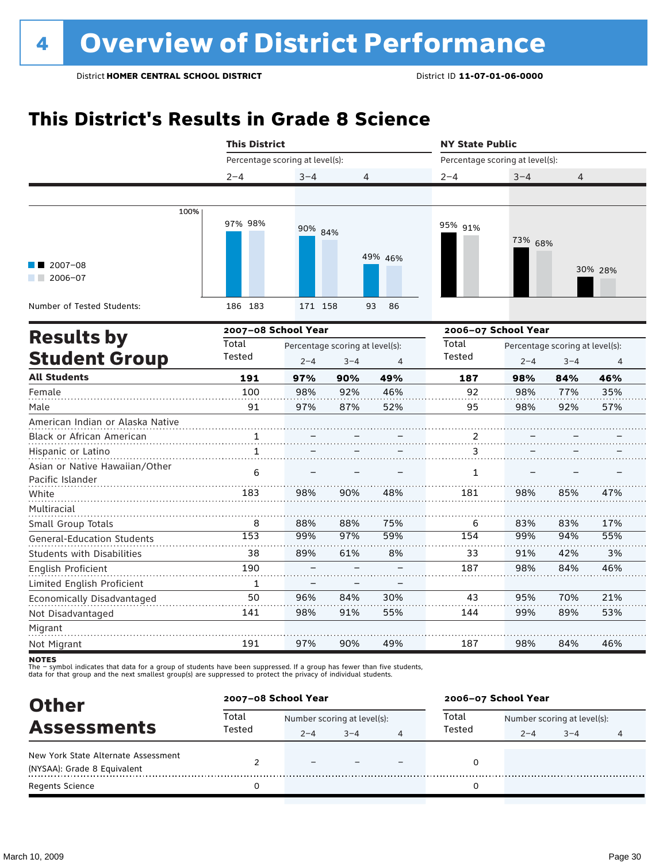### **This District's Results in Grade 8 Science**

|                                                    | <b>This District</b>            |            |                                 | <b>NY State Public</b> |                                 |            |                                 |            |
|----------------------------------------------------|---------------------------------|------------|---------------------------------|------------------------|---------------------------------|------------|---------------------------------|------------|
|                                                    | Percentage scoring at level(s): |            |                                 |                        | Percentage scoring at level(s): |            |                                 |            |
|                                                    | $2 - 4$                         | $3 - 4$    | 4                               |                        | $2 - 4$                         | $3 - 4$    | 4                               |            |
|                                                    |                                 |            |                                 |                        |                                 |            |                                 |            |
| 100%                                               | 97% 98%                         | 90% 84%    |                                 | 49% 46%                | 95% 91%                         | 73% 68%    |                                 |            |
| $2007 - 08$<br>2006-07<br>a sa Bala                |                                 |            |                                 |                        |                                 |            |                                 | 30% 28%    |
| Number of Tested Students:                         | 186 183                         | 171 158    |                                 | 93<br>86               |                                 |            |                                 |            |
| <b>Results by</b>                                  | 2007-08 School Year             |            |                                 | 2006-07 School Year    |                                 |            |                                 |            |
|                                                    | Total                           |            | Percentage scoring at level(s): |                        | Total                           |            | Percentage scoring at level(s): |            |
| <b>Student Group</b>                               | Tested                          | $2 - 4$    | $3 - 4$                         | 4                      | <b>Tested</b>                   | $2 - 4$    | $3 - 4$                         | 4          |
| <b>All Students</b>                                | 191                             | 97%        | 90%                             | 49%                    | 187                             | 98%        | 84%                             | 46%        |
| Female<br>Male                                     | 100<br>91                       | 98%<br>97% | 92%<br>87%                      | 46%<br>52%             | 92<br>95                        | 98%<br>98% | 77%<br>92%                      | 35%<br>57% |
| American Indian or Alaska Native                   |                                 |            |                                 |                        |                                 |            |                                 |            |
| Black or African American                          | 1                               |            |                                 |                        | 2                               |            |                                 |            |
| Hispanic or Latino                                 | 1                               |            |                                 |                        | 3                               |            |                                 |            |
| Asian or Native Hawaiian/Other<br>Pacific Islander | 6                               |            |                                 |                        | 1                               |            |                                 |            |
| White                                              | 183                             | 98%        | 90%                             | 48%                    | 181                             | 98%        | 85%                             | 47%        |
| Multiracial                                        |                                 |            |                                 |                        |                                 |            |                                 |            |
| Small Group Totals                                 | 8                               | 88%        | 88%                             | 75%                    | 6                               | 83%        | 83%                             | 17%        |
| <b>General-Education Students</b>                  | 153                             | 99%        | 97%                             | 59%                    | 154                             | 99%        | 94%                             | 55%        |
| <b>Students with Disabilities</b>                  | 38                              | 89%        | 61%                             | 8%                     | 33                              | 91%        | 42%                             | 3%         |
| <b>English Proficient</b>                          | 190                             |            |                                 |                        | 187                             | 98%        | 84%                             | 46%        |
| Limited English Proficient                         | $\mathbf{1}$                    |            |                                 |                        |                                 |            |                                 |            |
| Economically Disadvantaged                         | 50                              | 96%        | 84%                             | 30%                    | 43                              | 95%        | 70%                             | 21%        |
| Not Disadvantaged                                  | 141                             | 98%        | 91%                             | 55%                    | 144                             | 99%        | 89%                             | 53%        |
| Migrant                                            |                                 |            |                                 |                        |                                 |            |                                 |            |
| Not Migrant                                        | 191                             | 97%        | 90%                             | 49%                    | 187                             | 98%        | 84%                             | 46%        |
| NATES                                              |                                 |            |                                 |                        |                                 |            |                                 |            |

notes

| <b>Other</b><br><b>Assessments</b>                                 |        | 2007-08 School Year |                             |   | 2006-07 School Year |                             |         |   |  |
|--------------------------------------------------------------------|--------|---------------------|-----------------------------|---|---------------------|-----------------------------|---------|---|--|
|                                                                    | Total  |                     | Number scoring at level(s): |   |                     | Number scoring at level(s): |         |   |  |
|                                                                    | Tested | $2 - 4$             | $3 - 4$                     | 4 | Tested              | $2 - 4$                     | $3 - 4$ | 4 |  |
| New York State Alternate Assessment<br>(NYSAA): Grade 8 Equivalent |        | $\equiv$            |                             |   |                     |                             |         |   |  |
| Regents Science                                                    |        |                     |                             |   |                     |                             |         |   |  |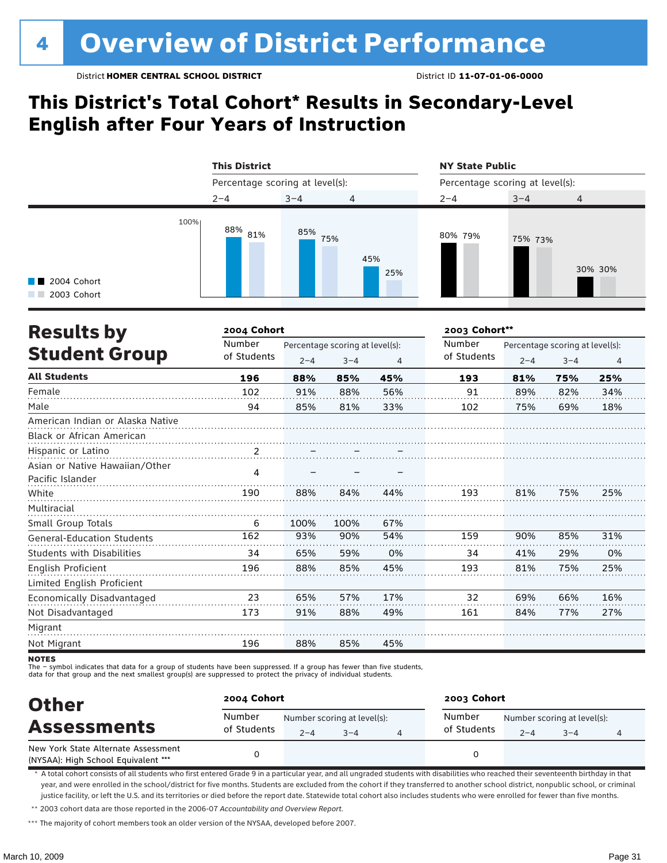### **This District's Total Cohort\* Results in Secondary-Level English after Four Years of Instruction**



| <b>Results by</b>                                  | 2004 Cohort           |         |                                            |     | 2003 Cohort**         |         |                                            |                |  |
|----------------------------------------------------|-----------------------|---------|--------------------------------------------|-----|-----------------------|---------|--------------------------------------------|----------------|--|
| <b>Student Group</b>                               | Number<br>of Students | $2 - 4$ | Percentage scoring at level(s):<br>$3 - 4$ | 4   | Number<br>of Students | $2 - 4$ | Percentage scoring at level(s):<br>$3 - 4$ | $\overline{a}$ |  |
| <b>All Students</b>                                | 196                   | 88%     | 85%                                        | 45% | 193                   | 81%     | 75%                                        | 25%            |  |
| Female                                             | 102                   | 91%     | 88%                                        | 56% | 91                    | 89%     | 82%                                        | 34%            |  |
| Male                                               | 94                    | 85%     | 81%                                        | 33% | 102                   | 75%     | 69%                                        | 18%            |  |
| American Indian or Alaska Native                   |                       |         |                                            |     |                       |         |                                            |                |  |
| <b>Black or African American</b>                   |                       |         |                                            |     |                       |         |                                            |                |  |
| Hispanic or Latino                                 | $\frac{2}{\cdot}$     |         |                                            |     |                       |         |                                            |                |  |
| Asian or Native Hawaiian/Other<br>Pacific Islander | 4                     |         |                                            |     |                       |         |                                            |                |  |
| White                                              | 190                   | 88%     | 84%                                        | 44% | 193                   | 81%     | 75%                                        | 25%            |  |
| Multiracial                                        |                       |         |                                            |     |                       |         |                                            |                |  |
| Small Group Totals                                 | 6                     | 100%    | 100%                                       | 67% |                       |         |                                            |                |  |
| General-Education Students                         | 162                   | 93%     | 90%                                        | 54% | 159                   | 90%     | 85%                                        | 31%            |  |
| Students with Disabilities                         | 34                    | 65%     | 59%                                        | 0%  | 34                    | 41%     | 29%                                        | 0%             |  |
| English Proficient                                 | 196                   | 88%     | 85%                                        | 45% | 193                   | 81%     | 75%                                        | 25%            |  |
| Limited English Proficient                         |                       |         |                                            |     |                       |         |                                            |                |  |
| Economically Disadvantaged                         | 23                    | 65%     | 57%                                        | 17% | 32                    | 69%     | 66%                                        | 16%            |  |
| Not Disadvantaged                                  | 173                   | 91%     | 88%                                        | 49% | 161                   | 84%     | 77%                                        | 27%            |  |
| Migrant                                            |                       |         |                                            |     |                       |         |                                            |                |  |
| Not Migrant                                        | 196                   | 88%     | 85%                                        | 45% |                       |         |                                            |                |  |

**NOTES** 

- symbol indicates that data for a group of students have been suppressed. If a group has fewer than five students,

data for that group and the next smallest group(s) are suppressed to protect the privacy of individual students.

| <b>Other</b>                                                               | 2004 Cohort           |                                        |         | 2003 Cohort           |         |                                        |   |  |  |
|----------------------------------------------------------------------------|-----------------------|----------------------------------------|---------|-----------------------|---------|----------------------------------------|---|--|--|
| <b>Assessments</b>                                                         | Number<br>of Students | Number scoring at level(s):<br>$2 - 4$ | $3 - 4$ | Number<br>of Students | $2 - 4$ | Number scoring at level(s):<br>$3 - 4$ | 4 |  |  |
| New York State Alternate Assessment<br>(NYSAA): High School Equivalent *** |                       |                                        |         |                       |         |                                        |   |  |  |

\* A total cohort consists of all students who first entered Grade 9 in a particular year, and all ungraded students with disabilities who reached their seventeenth birthday in that year, and were enrolled in the school/district for five months. Students are excluded from the cohort if they transferred to another school district, nonpublic school, or criminal justice facility, or left the U.S. and its territories or died before the report date. Statewide total cohort also includes students who were enrolled for fewer than five months.

\*\* 2003 cohort data are those reported in the 2006-07 *Accountability and Overview Report*.

\*\*\* The majority of cohort members took an older version of the NYSAA, developed before 2007.